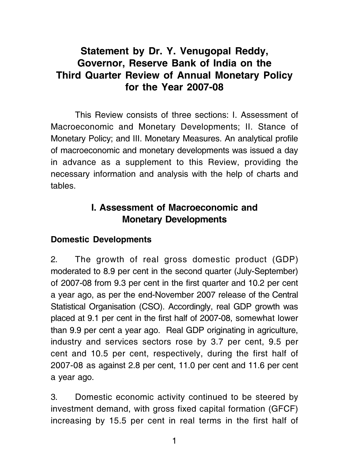# Statement by Dr. Y. Venugopal Reddy, Governor, Reserve Bank of India on the Third Quarter Review of Annual Monetary Policy for the Year 2007-08

This Review consists of three sections: I. Assessment of Macroeconomic and Monetary Developments; II. Stance of Monetary Policy; and III. Monetary Measures. An analytical profile of macroeconomic and monetary developments was issued a day in advance as a supplement to this Review, providing the necessary information and analysis with the help of charts and tables.

# I. Assessment of Macroeconomic and Monetary Developments

#### Domestic Developments

2. The growth of real gross domestic product (GDP) moderated to 8.9 per cent in the second quarter (July-September) of 2007-08 from 9.3 per cent in the first quarter and 10.2 per cent a year ago, as per the end-November 2007 release of the Central Statistical Organisation (CSO). Accordingly, real GDP growth was placed at 9.1 per cent in the first half of 2007-08, somewhat lower than 9.9 per cent a year ago. Real GDP originating in agriculture, industry and services sectors rose by 3.7 per cent, 9.5 per cent and 10.5 per cent, respectively, during the first half of 2007-08 as against 2.8 per cent, 11.0 per cent and 11.6 per cent a year ago.

3. Domestic economic activity continued to be steered by investment demand, with gross fixed capital formation (GFCF) increasing by 15.5 per cent in real terms in the first half of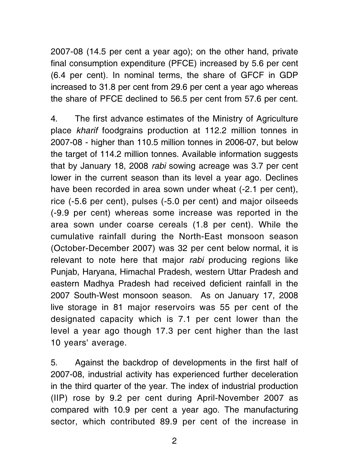2007-08 (14.5 per cent a year ago); on the other hand, private final consumption expenditure (PFCE) increased by 5.6 per cent (6.4 per cent). In nominal terms, the share of GFCF in GDP increased to 31.8 per cent from 29.6 per cent a year ago whereas the share of PFCE declined to 56.5 per cent from 57.6 per cent.

4. The first advance estimates of the Ministry of Agriculture place kharif foodgrains production at 112.2 million tonnes in 2007-08 - higher than 110.5 million tonnes in 2006-07, but below the target of 114.2 million tonnes. Available information suggests that by January 18, 2008 rabi sowing acreage was 3.7 per cent lower in the current season than its level a year ago. Declines have been recorded in area sown under wheat (-2.1 per cent), rice (-5.6 per cent), pulses (-5.0 per cent) and major oilseeds (-9.9 per cent) whereas some increase was reported in the area sown under coarse cereals (1.8 per cent). While the cumulative rainfall during the North-East monsoon season (October-December 2007) was 32 per cent below normal, it is relevant to note here that major *rabi* producing regions like Punjab, Haryana, Himachal Pradesh, western Uttar Pradesh and eastern Madhya Pradesh had received deficient rainfall in the 2007 South-West monsoon season. As on January 17, 2008 live storage in 81 major reservoirs was 55 per cent of the designated capacity which is 7.1 per cent lower than the level a year ago though 17.3 per cent higher than the last 10 years' average.

5. Against the backdrop of developments in the first half of 2007-08, industrial activity has experienced further deceleration in the third quarter of the year. The index of industrial production (IIP) rose by 9.2 per cent during April-November 2007 as compared with 10.9 per cent a year ago. The manufacturing sector, which contributed 89.9 per cent of the increase in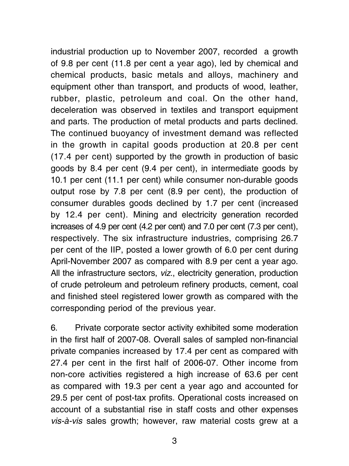industrial production up to November 2007, recorded a growth of 9.8 per cent (11.8 per cent a year ago), led by chemical and chemical products, basic metals and alloys, machinery and equipment other than transport, and products of wood, leather, rubber, plastic, petroleum and coal. On the other hand, deceleration was observed in textiles and transport equipment and parts. The production of metal products and parts declined. The continued buoyancy of investment demand was reflected in the growth in capital goods production at 20.8 per cent (17.4 per cent) supported by the growth in production of basic goods by 8.4 per cent (9.4 per cent), in intermediate goods by 10.1 per cent (11.1 per cent) while consumer non-durable goods output rose by 7.8 per cent (8.9 per cent), the production of consumer durables goods declined by 1.7 per cent (increased by 12.4 per cent). Mining and electricity generation recorded increases of 4.9 per cent (4.2 per cent) and 7.0 per cent (7.3 per cent), respectively. The six infrastructure industries, comprising 26.7 per cent of the IIP, posted a lower growth of 6.0 per cent during April-November 2007 as compared with 8.9 per cent a year ago. All the infrastructure sectors, viz., electricity generation, production of crude petroleum and petroleum refinery products, cement, coal and finished steel registered lower growth as compared with the corresponding period of the previous year.

6. Private corporate sector activity exhibited some moderation in the first half of 2007-08. Overall sales of sampled non-financial private companies increased by 17.4 per cent as compared with 27.4 per cent in the first half of 2006-07. Other income from non-core activities registered a high increase of 63.6 per cent as compared with 19.3 per cent a year ago and accounted for 29.5 per cent of post-tax profits. Operational costs increased on account of a substantial rise in staff costs and other expenses vis-à-vis sales growth; however, raw material costs grew at a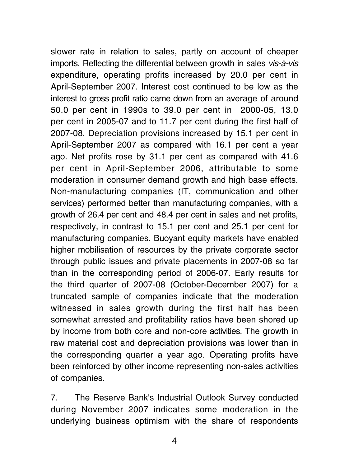slower rate in relation to sales, partly on account of cheaper imports. Reflecting the differential between growth in sales vis-à-vis expenditure, operating profits increased by 20.0 per cent in April-September 2007. Interest cost continued to be low as the interest to gross profit ratio came down from an average of around 50.0 per cent in 1990s to 39.0 per cent in 2000-05, 13.0 per cent in 2005-07 and to 11.7 per cent during the first half of 2007-08. Depreciation provisions increased by 15.1 per cent in April-September 2007 as compared with 16.1 per cent a year ago. Net profits rose by 31.1 per cent as compared with 41.6 per cent in April-September 2006, attributable to some moderation in consumer demand growth and high base effects. Non-manufacturing companies (IT, communication and other services) performed better than manufacturing companies, with a growth of 26.4 per cent and 48.4 per cent in sales and net profits, respectively, in contrast to 15.1 per cent and 25.1 per cent for manufacturing companies. Buoyant equity markets have enabled higher mobilisation of resources by the private corporate sector through public issues and private placements in 2007-08 so far than in the corresponding period of 2006-07. Early results for the third quarter of 2007-08 (October-December 2007) for a truncated sample of companies indicate that the moderation witnessed in sales growth during the first half has been somewhat arrested and profitability ratios have been shored up by income from both core and non-core activities. The growth in raw material cost and depreciation provisions was lower than in the corresponding quarter a year ago. Operating profits have been reinforced by other income representing non-sales activities of companies.

7. The Reserve Bank's Industrial Outlook Survey conducted during November 2007 indicates some moderation in the underlying business optimism with the share of respondents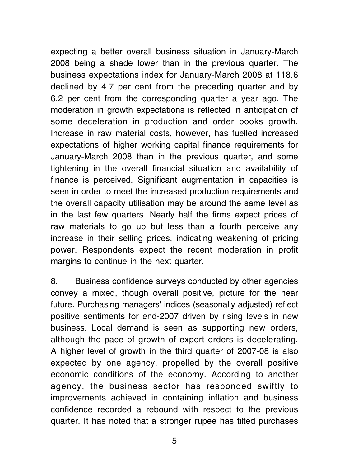expecting a better overall business situation in January-March 2008 being a shade lower than in the previous quarter. The business expectations index for January-March 2008 at 118.6 declined by 4.7 per cent from the preceding quarter and by 6.2 per cent from the corresponding quarter a year ago. The moderation in growth expectations is reflected in anticipation of some deceleration in production and order books growth. Increase in raw material costs, however, has fuelled increased expectations of higher working capital finance requirements for January-March 2008 than in the previous quarter, and some tightening in the overall financial situation and availability of finance is perceived. Significant augmentation in capacities is seen in order to meet the increased production requirements and the overall capacity utilisation may be around the same level as in the last few quarters. Nearly half the firms expect prices of raw materials to go up but less than a fourth perceive any increase in their selling prices, indicating weakening of pricing power. Respondents expect the recent moderation in profit margins to continue in the next quarter.

8. Business confidence surveys conducted by other agencies convey a mixed, though overall positive, picture for the near future. Purchasing managers' indices (seasonally adjusted) reflect positive sentiments for end-2007 driven by rising levels in new business. Local demand is seen as supporting new orders, although the pace of growth of export orders is decelerating. A higher level of growth in the third quarter of 2007-08 is also expected by one agency, propelled by the overall positive economic conditions of the economy. According to another agency, the business sector has responded swiftly to improvements achieved in containing inflation and business confidence recorded a rebound with respect to the previous quarter. It has noted that a stronger rupee has tilted purchases

5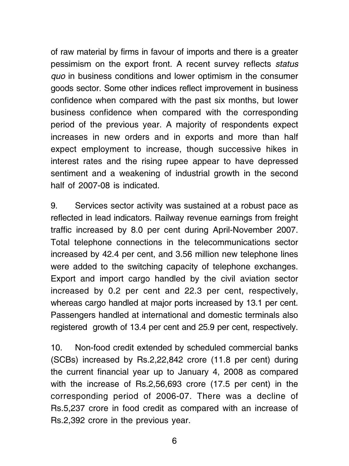of raw material by firms in favour of imports and there is a greater pessimism on the export front. A recent survey reflects status quo in business conditions and lower optimism in the consumer goods sector. Some other indices reflect improvement in business confidence when compared with the past six months, but lower business confidence when compared with the corresponding period of the previous year. A majority of respondents expect increases in new orders and in exports and more than half expect employment to increase, though successive hikes in interest rates and the rising rupee appear to have depressed sentiment and a weakening of industrial growth in the second half of 2007-08 is indicated.

9. Services sector activity was sustained at a robust pace as reflected in lead indicators. Railway revenue earnings from freight traffic increased by 8.0 per cent during April-November 2007. Total telephone connections in the telecommunications sector increased by 42.4 per cent, and 3.56 million new telephone lines were added to the switching capacity of telephone exchanges. Export and import cargo handled by the civil aviation sector increased by 0.2 per cent and 22.3 per cent, respectively, whereas cargo handled at major ports increased by 13.1 per cent. Passengers handled at international and domestic terminals also registered growth of 13.4 per cent and 25.9 per cent, respectively.

10. Non-food credit extended by scheduled commercial banks (SCBs) increased by Rs.2,22,842 crore (11.8 per cent) during the current financial year up to January 4, 2008 as compared with the increase of Rs.2,56,693 crore (17.5 per cent) in the corresponding period of 2006-07. There was a decline of Rs.5,237 crore in food credit as compared with an increase of Rs.2,392 crore in the previous year.

6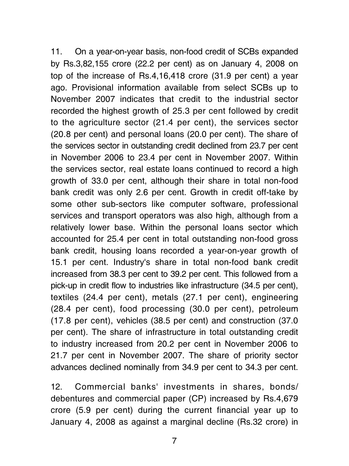11. On a year-on-year basis, non-food credit of SCBs expanded by Rs.3,82,155 crore (22.2 per cent) as on January 4, 2008 on top of the increase of Rs.4,16,418 crore (31.9 per cent) a year ago. Provisional information available from select SCBs up to November 2007 indicates that credit to the industrial sector recorded the highest growth of 25.3 per cent followed by credit to the agriculture sector (21.4 per cent), the services sector (20.8 per cent) and personal loans (20.0 per cent). The share of the services sector in outstanding credit declined from 23.7 per cent in November 2006 to 23.4 per cent in November 2007. Within the services sector, real estate loans continued to record a high growth of 33.0 per cent, although their share in total non-food bank credit was only 2.6 per cent. Growth in credit off-take by some other sub-sectors like computer software, professional services and transport operators was also high, although from a relatively lower base. Within the personal loans sector which accounted for 25.4 per cent in total outstanding non-food gross bank credit, housing loans recorded a year-on-year growth of 15.1 per cent. Industry's share in total non-food bank credit increased from 38.3 per cent to 39.2 per cent. This followed from a pick-up in credit flow to industries like infrastructure (34.5 per cent), textiles (24.4 per cent), metals (27.1 per cent), engineering (28.4 per cent), food processing (30.0 per cent), petroleum (17.8 per cent), vehicles (38.5 per cent) and construction (37.0 per cent). The share of infrastructure in total outstanding credit to industry increased from 20.2 per cent in November 2006 to 21.7 per cent in November 2007. The share of priority sector advances declined nominally from 34.9 per cent to 34.3 per cent.

12. Commercial banks' investments in shares, bonds/ debentures and commercial paper (CP) increased by Rs.4,679 crore (5.9 per cent) during the current financial year up to January 4, 2008 as against a marginal decline (Rs.32 crore) in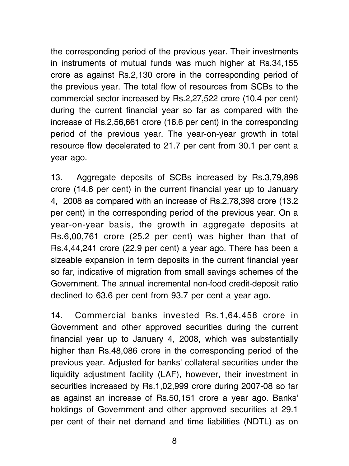the corresponding period of the previous year. Their investments in instruments of mutual funds was much higher at Rs.34,155 crore as against Rs.2,130 crore in the corresponding period of the previous year. The total flow of resources from SCBs to the commercial sector increased by Rs.2,27,522 crore (10.4 per cent) during the current financial year so far as compared with the increase of Rs.2,56,661 crore (16.6 per cent) in the corresponding period of the previous year. The year-on-year growth in total resource flow decelerated to 21.7 per cent from 30.1 per cent a year ago.

13. Aggregate deposits of SCBs increased by Rs.3,79,898 crore (14.6 per cent) in the current financial year up to January 4, 2008 as compared with an increase of Rs.2,78,398 crore (13.2 per cent) in the corresponding period of the previous year. On a year-on-year basis, the growth in aggregate deposits at Rs.6,00,761 crore (25.2 per cent) was higher than that of Rs.4,44,241 crore (22.9 per cent) a year ago. There has been a sizeable expansion in term deposits in the current financial year so far, indicative of migration from small savings schemes of the Government. The annual incremental non-food credit-deposit ratio declined to 63.6 per cent from 93.7 per cent a year ago.

14. Commercial banks invested Rs.1,64,458 crore in Government and other approved securities during the current financial year up to January 4, 2008, which was substantially higher than Rs.48,086 crore in the corresponding period of the previous year. Adjusted for banks' collateral securities under the liquidity adjustment facility (LAF), however, their investment in securities increased by Rs.1,02,999 crore during 2007-08 so far as against an increase of Rs.50,151 crore a year ago. Banks' holdings of Government and other approved securities at 29.1 per cent of their net demand and time liabilities (NDTL) as on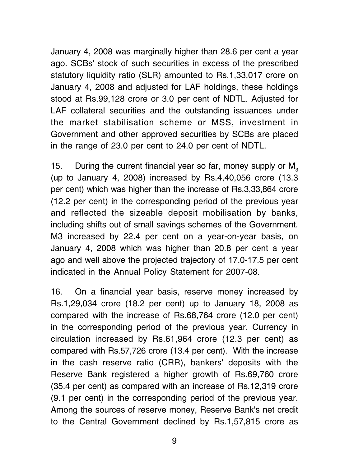January 4, 2008 was marginally higher than 28.6 per cent a year ago. SCBs' stock of such securities in excess of the prescribed statutory liquidity ratio (SLR) amounted to Rs.1,33,017 crore on January 4, 2008 and adjusted for LAF holdings, these holdings stood at Rs.99,128 crore or 3.0 per cent of NDTL. Adjusted for LAF collateral securities and the outstanding issuances under the market stabilisation scheme or MSS, investment in Government and other approved securities by SCBs are placed in the range of 23.0 per cent to 24.0 per cent of NDTL.

15. During the current financial year so far, money supply or  $M<sub>2</sub>$ (up to January 4, 2008) increased by Rs.4,40,056 crore (13.3 per cent) which was higher than the increase of Rs.3,33,864 crore (12.2 per cent) in the corresponding period of the previous year and reflected the sizeable deposit mobilisation by banks, including shifts out of small savings schemes of the Government. M3 increased by 22.4 per cent on a year-on-year basis, on January 4, 2008 which was higher than 20.8 per cent a year ago and well above the projected trajectory of 17.0-17.5 per cent indicated in the Annual Policy Statement for 2007-08.

16. On a financial year basis, reserve money increased by Rs.1,29,034 crore (18.2 per cent) up to January 18, 2008 as compared with the increase of Rs.68,764 crore (12.0 per cent) in the corresponding period of the previous year. Currency in circulation increased by Rs.61,964 crore (12.3 per cent) as compared with Rs.57,726 crore (13.4 per cent). With the increase in the cash reserve ratio (CRR), bankers' deposits with the Reserve Bank registered a higher growth of Rs.69,760 crore (35.4 per cent) as compared with an increase of Rs.12,319 crore (9.1 per cent) in the corresponding period of the previous year. Among the sources of reserve money, Reserve Bank's net credit to the Central Government declined by Rs.1,57,815 crore as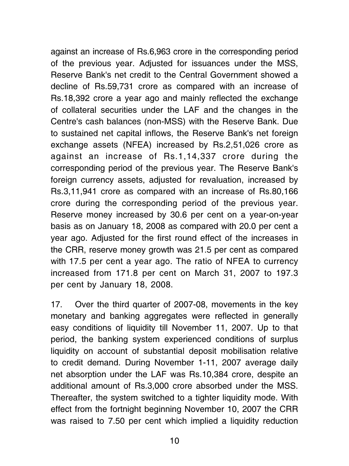against an increase of Rs.6,963 crore in the corresponding period of the previous year. Adjusted for issuances under the MSS, Reserve Bank's net credit to the Central Government showed a decline of Rs.59,731 crore as compared with an increase of Rs.18,392 crore a year ago and mainly reflected the exchange of collateral securities under the LAF and the changes in the Centre's cash balances (non-MSS) with the Reserve Bank. Due to sustained net capital inflows, the Reserve Bank's net foreign exchange assets (NFEA) increased by Rs.2,51,026 crore as against an increase of Rs.1,14,337 crore during the corresponding period of the previous year. The Reserve Bank's foreign currency assets, adjusted for revaluation, increased by Rs.3,11,941 crore as compared with an increase of Rs.80,166 crore during the corresponding period of the previous year. Reserve money increased by 30.6 per cent on a year-on-year basis as on January 18, 2008 as compared with 20.0 per cent a year ago. Adjusted for the first round effect of the increases in the CRR, reserve money growth was 21.5 per cent as compared with 17.5 per cent a year ago. The ratio of NFEA to currency increased from 171.8 per cent on March 31, 2007 to 197.3 per cent by January 18, 2008.

17. Over the third quarter of 2007-08, movements in the key monetary and banking aggregates were reflected in generally easy conditions of liquidity till November 11, 2007. Up to that period, the banking system experienced conditions of surplus liquidity on account of substantial deposit mobilisation relative to credit demand. During November 1-11, 2007 average daily net absorption under the LAF was Rs.10,384 crore, despite an additional amount of Rs.3,000 crore absorbed under the MSS. Thereafter, the system switched to a tighter liquidity mode. With effect from the fortnight beginning November 10, 2007 the CRR was raised to 7.50 per cent which implied a liquidity reduction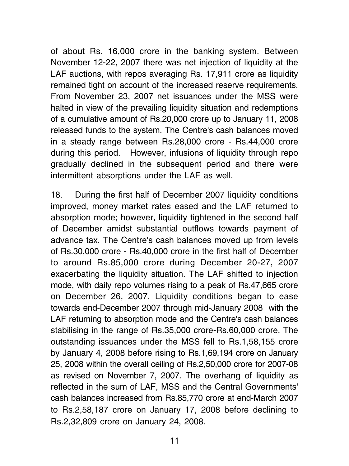of about Rs. 16,000 crore in the banking system. Between November 12-22, 2007 there was net injection of liquidity at the LAF auctions, with repos averaging Rs. 17,911 crore as liquidity remained tight on account of the increased reserve requirements. From November 23, 2007 net issuances under the MSS were halted in view of the prevailing liquidity situation and redemptions of a cumulative amount of Rs.20,000 crore up to January 11, 2008 released funds to the system. The Centre's cash balances moved in a steady range between Rs.28,000 crore - Rs.44,000 crore during this period. However, infusions of liquidity through repo gradually declined in the subsequent period and there were intermittent absorptions under the LAF as well.

18. During the first half of December 2007 liquidity conditions improved, money market rates eased and the LAF returned to absorption mode; however, liquidity tightened in the second half of December amidst substantial outflows towards payment of advance tax. The Centre's cash balances moved up from levels of Rs.30,000 crore - Rs.40,000 crore in the first half of December to around Rs.85,000 crore during December 20-27, 2007 exacerbating the liquidity situation. The LAF shifted to injection mode, with daily repo volumes rising to a peak of Rs.47,665 crore on December 26, 2007. Liquidity conditions began to ease towards end-December 2007 through mid-January 2008 with the LAF returning to absorption mode and the Centre's cash balances stabilising in the range of Rs.35,000 crore-Rs.60,000 crore. The outstanding issuances under the MSS fell to Rs.1,58,155 crore by January 4, 2008 before rising to Rs.1,69,194 crore on January 25, 2008 within the overall ceiling of Rs.2,50,000 crore for 2007-08 as revised on November 7, 2007. The overhang of liquidity as reflected in the sum of LAF, MSS and the Central Governments' cash balances increased from Rs.85,770 crore at end-March 2007 to Rs.2,58,187 crore on January 17, 2008 before declining to Rs.2,32,809 crore on January 24, 2008.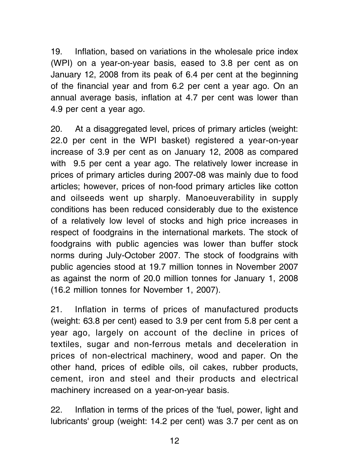19. Inflation, based on variations in the wholesale price index (WPI) on a year-on-year basis, eased to 3.8 per cent as on January 12, 2008 from its peak of 6.4 per cent at the beginning of the financial year and from 6.2 per cent a year ago. On an annual average basis, inflation at 4.7 per cent was lower than 4.9 per cent a year ago.

20. At a disaggregated level, prices of primary articles (weight: 22.0 per cent in the WPI basket) registered a year-on-year increase of 3.9 per cent as on January 12, 2008 as compared with 9.5 per cent a year ago. The relatively lower increase in prices of primary articles during 2007-08 was mainly due to food articles; however, prices of non-food primary articles like cotton and oilseeds went up sharply. Manoeuverability in supply conditions has been reduced considerably due to the existence of a relatively low level of stocks and high price increases in respect of foodgrains in the international markets. The stock of foodgrains with public agencies was lower than buffer stock norms during July-October 2007. The stock of foodgrains with public agencies stood at 19.7 million tonnes in November 2007 as against the norm of 20.0 million tonnes for January 1, 2008 (16.2 million tonnes for November 1, 2007).

21. Inflation in terms of prices of manufactured products (weight: 63.8 per cent) eased to 3.9 per cent from 5.8 per cent a year ago, largely on account of the decline in prices of textiles, sugar and non-ferrous metals and deceleration in prices of non-electrical machinery, wood and paper. On the other hand, prices of edible oils, oil cakes, rubber products, cement, iron and steel and their products and electrical machinery increased on a year-on-year basis.

22. Inflation in terms of the prices of the 'fuel, power, light and lubricants' group (weight: 14.2 per cent) was 3.7 per cent as on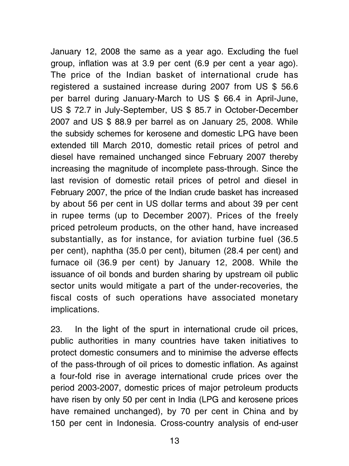January 12, 2008 the same as a year ago. Excluding the fuel group, inflation was at 3.9 per cent (6.9 per cent a year ago). The price of the Indian basket of international crude has registered a sustained increase during 2007 from US \$ 56.6 per barrel during January-March to US \$ 66.4 in April-June, US \$ 72.7 in July-September, US \$ 85.7 in October-December 2007 and US \$ 88.9 per barrel as on January 25, 2008. While the subsidy schemes for kerosene and domestic LPG have been extended till March 2010, domestic retail prices of petrol and diesel have remained unchanged since February 2007 thereby increasing the magnitude of incomplete pass-through. Since the last revision of domestic retail prices of petrol and diesel in February 2007, the price of the Indian crude basket has increased by about 56 per cent in US dollar terms and about 39 per cent in rupee terms (up to December 2007). Prices of the freely priced petroleum products, on the other hand, have increased substantially, as for instance, for aviation turbine fuel (36.5 per cent), naphtha (35.0 per cent), bitumen (28.4 per cent) and furnace oil (36.9 per cent) by January 12, 2008. While the issuance of oil bonds and burden sharing by upstream oil public sector units would mitigate a part of the under-recoveries, the fiscal costs of such operations have associated monetary implications.

23. In the light of the spurt in international crude oil prices, public authorities in many countries have taken initiatives to protect domestic consumers and to minimise the adverse effects of the pass-through of oil prices to domestic inflation. As against a four-fold rise in average international crude prices over the period 2003-2007, domestic prices of major petroleum products have risen by only 50 per cent in India (LPG and kerosene prices have remained unchanged), by 70 per cent in China and by 150 per cent in Indonesia. Cross-country analysis of end-user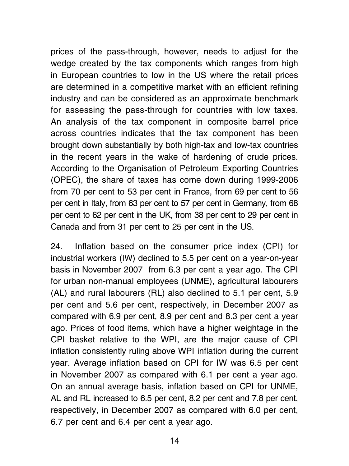prices of the pass-through, however, needs to adjust for the wedge created by the tax components which ranges from high in European countries to low in the US where the retail prices are determined in a competitive market with an efficient refining industry and can be considered as an approximate benchmark for assessing the pass-through for countries with low taxes. An analysis of the tax component in composite barrel price across countries indicates that the tax component has been brought down substantially by both high-tax and low-tax countries in the recent years in the wake of hardening of crude prices. According to the Organisation of Petroleum Exporting Countries (OPEC), the share of taxes has come down during 1999-2006 from 70 per cent to 53 per cent in France, from 69 per cent to 56 per cent in Italy, from 63 per cent to 57 per cent in Germany, from 68 per cent to 62 per cent in the UK, from 38 per cent to 29 per cent in Canada and from 31 per cent to 25 per cent in the US.

24. Inflation based on the consumer price index (CPI) for industrial workers (IW) declined to 5.5 per cent on a year-on-year basis in November 2007 from 6.3 per cent a year ago. The CPI for urban non-manual employees (UNME), agricultural labourers (AL) and rural labourers (RL) also declined to 5.1 per cent, 5.9 per cent and 5.6 per cent, respectively, in December 2007 as compared with 6.9 per cent, 8.9 per cent and 8.3 per cent a year ago. Prices of food items, which have a higher weightage in the CPI basket relative to the WPI, are the major cause of CPI inflation consistently ruling above WPI inflation during the current year. Average inflation based on CPI for IW was 6.5 per cent in November 2007 as compared with 6.1 per cent a year ago. On an annual average basis, inflation based on CPI for UNME, AL and RL increased to 6.5 per cent, 8.2 per cent and 7.8 per cent, respectively, in December 2007 as compared with 6.0 per cent, 6.7 per cent and 6.4 per cent a year ago.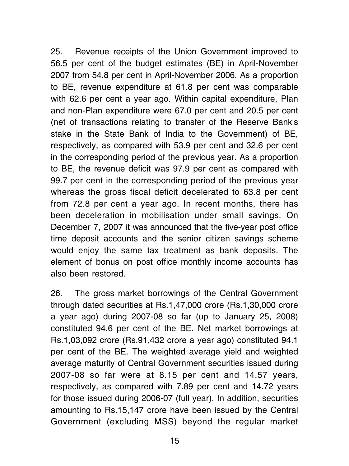25. Revenue receipts of the Union Government improved to 56.5 per cent of the budget estimates (BE) in April-November 2007 from 54.8 per cent in April-November 2006. As a proportion to BE, revenue expenditure at 61.8 per cent was comparable with 62.6 per cent a year ago. Within capital expenditure, Plan and non-Plan expenditure were 67.0 per cent and 20.5 per cent (net of transactions relating to transfer of the Reserve Bank's stake in the State Bank of India to the Government) of BE, respectively, as compared with 53.9 per cent and 32.6 per cent in the corresponding period of the previous year. As a proportion to BE, the revenue deficit was 97.9 per cent as compared with 99.7 per cent in the corresponding period of the previous year whereas the gross fiscal deficit decelerated to 63.8 per cent from 72.8 per cent a year ago. In recent months, there has been deceleration in mobilisation under small savings. On December 7, 2007 it was announced that the five-year post office time deposit accounts and the senior citizen savings scheme would enjoy the same tax treatment as bank deposits. The element of bonus on post office monthly income accounts has also been restored.

26. The gross market borrowings of the Central Government through dated securities at Rs.1,47,000 crore (Rs.1,30,000 crore a year ago) during 2007-08 so far (up to January 25, 2008) constituted 94.6 per cent of the BE. Net market borrowings at Rs.1,03,092 crore (Rs.91,432 crore a year ago) constituted 94.1 per cent of the BE. The weighted average yield and weighted average maturity of Central Government securities issued during 2007-08 so far were at 8.15 per cent and 14.57 years, respectively, as compared with 7.89 per cent and 14.72 years for those issued during 2006-07 (full year). In addition, securities amounting to Rs.15,147 crore have been issued by the Central Government (excluding MSS) beyond the regular market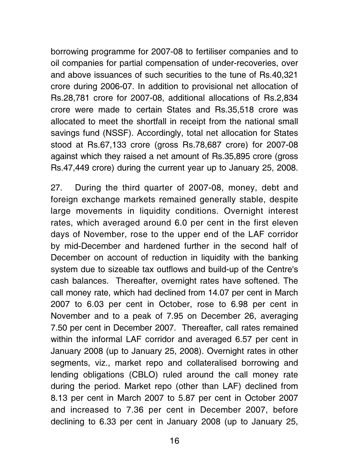borrowing programme for 2007-08 to fertiliser companies and to oil companies for partial compensation of under-recoveries, over and above issuances of such securities to the tune of Rs.40,321 crore during 2006-07. In addition to provisional net allocation of Rs.28,781 crore for 2007-08, additional allocations of Rs.2,834 crore were made to certain States and Rs.35,518 crore was allocated to meet the shortfall in receipt from the national small savings fund (NSSF). Accordingly, total net allocation for States stood at Rs.67,133 crore (gross Rs.78,687 crore) for 2007-08 against which they raised a net amount of Rs.35,895 crore (gross Rs.47,449 crore) during the current year up to January 25, 2008.

27. During the third quarter of 2007-08, money, debt and foreign exchange markets remained generally stable, despite large movements in liquidity conditions. Overnight interest rates, which averaged around 6.0 per cent in the first eleven days of November, rose to the upper end of the LAF corridor by mid-December and hardened further in the second half of December on account of reduction in liquidity with the banking system due to sizeable tax outflows and build-up of the Centre's cash balances. Thereafter, overnight rates have softened. The call money rate, which had declined from 14.07 per cent in March 2007 to 6.03 per cent in October, rose to 6.98 per cent in November and to a peak of 7.95 on December 26, averaging 7.50 per cent in December 2007. Thereafter, call rates remained within the informal LAF corridor and averaged 6.57 per cent in January 2008 (up to January 25, 2008). Overnight rates in other segments, viz., market repo and collateralised borrowing and lending obligations (CBLO) ruled around the call money rate during the period. Market repo (other than LAF) declined from 8.13 per cent in March 2007 to 5.87 per cent in October 2007 and increased to 7.36 per cent in December 2007, before declining to 6.33 per cent in January 2008 (up to January 25,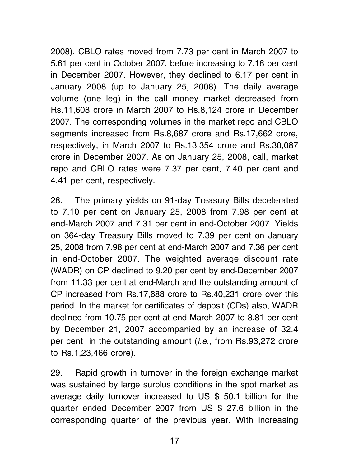2008). CBLO rates moved from 7.73 per cent in March 2007 to 5.61 per cent in October 2007, before increasing to 7.18 per cent in December 2007. However, they declined to 6.17 per cent in January 2008 (up to January 25, 2008). The daily average volume (one leg) in the call money market decreased from Rs.11,608 crore in March 2007 to Rs.8,124 crore in December 2007. The corresponding volumes in the market repo and CBLO segments increased from Rs.8,687 crore and Rs.17,662 crore, respectively, in March 2007 to Rs.13,354 crore and Rs.30,087 crore in December 2007. As on January 25, 2008, call, market repo and CBLO rates were 7.37 per cent, 7.40 per cent and 4.41 per cent, respectively.

28. The primary yields on 91-day Treasury Bills decelerated to 7.10 per cent on January 25, 2008 from 7.98 per cent at end-March 2007 and 7.31 per cent in end-October 2007. Yields on 364-day Treasury Bills moved to 7.39 per cent on January 25, 2008 from 7.98 per cent at end-March 2007 and 7.36 per cent in end-October 2007. The weighted average discount rate (WADR) on CP declined to 9.20 per cent by end-December 2007 from 11.33 per cent at end-March and the outstanding amount of CP increased from Rs.17,688 crore to Rs.40,231 crore over this period. In the market for certificates of deposit (CDs) also, WADR declined from 10.75 per cent at end-March 2007 to 8.81 per cent by December 21, 2007 accompanied by an increase of 32.4 per cent in the outstanding amount (i.e., from Rs.93,272 crore to Rs.1,23,466 crore).

29. Rapid growth in turnover in the foreign exchange market was sustained by large surplus conditions in the spot market as average daily turnover increased to US \$ 50.1 billion for the quarter ended December 2007 from US \$ 27.6 billion in the corresponding quarter of the previous year. With increasing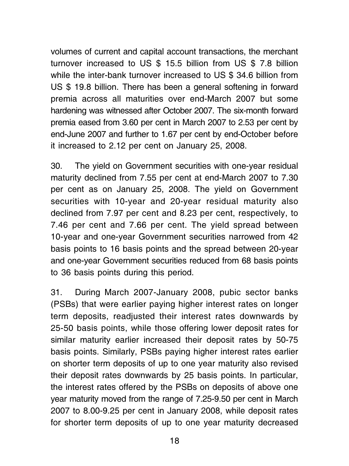volumes of current and capital account transactions, the merchant turnover increased to US \$ 15.5 billion from US \$ 7.8 billion while the inter-bank turnover increased to US \$ 34.6 billion from US \$ 19.8 billion. There has been a general softening in forward premia across all maturities over end-March 2007 but some hardening was witnessed after October 2007. The six-month forward premia eased from 3.60 per cent in March 2007 to 2.53 per cent by end-June 2007 and further to 1.67 per cent by end-October before it increased to 2.12 per cent on January 25, 2008.

30. The yield on Government securities with one-year residual maturity declined from 7.55 per cent at end-March 2007 to 7.30 per cent as on January 25, 2008. The yield on Government securities with 10-year and 20-year residual maturity also declined from 7.97 per cent and 8.23 per cent, respectively, to 7.46 per cent and 7.66 per cent. The yield spread between 10-year and one-year Government securities narrowed from 42 basis points to 16 basis points and the spread between 20-year and one-year Government securities reduced from 68 basis points to 36 basis points during this period.

31. During March 2007-January 2008, pubic sector banks (PSBs) that were earlier paying higher interest rates on longer term deposits, readjusted their interest rates downwards by 25-50 basis points, while those offering lower deposit rates for similar maturity earlier increased their deposit rates by 50-75 basis points. Similarly, PSBs paying higher interest rates earlier on shorter term deposits of up to one year maturity also revised their deposit rates downwards by 25 basis points. In particular, the interest rates offered by the PSBs on deposits of above one year maturity moved from the range of 7.25-9.50 per cent in March 2007 to 8.00-9.25 per cent in January 2008, while deposit rates for shorter term deposits of up to one year maturity decreased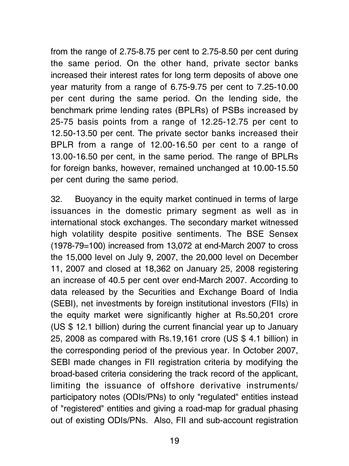from the range of 2.75-8.75 per cent to 2.75-8.50 per cent during the same period. On the other hand, private sector banks increased their interest rates for long term deposits of above one year maturity from a range of 6.75-9.75 per cent to 7.25-10.00 per cent during the same period. On the lending side, the benchmark prime lending rates (BPLRs) of PSBs increased by 25-75 basis points from a range of 12.25-12.75 per cent to 12.50-13.50 per cent. The private sector banks increased their BPLR from a range of 12.00-16.50 per cent to a range of 13.00-16.50 per cent, in the same period. The range of BPLRs for foreign banks, however, remained unchanged at 10.00-15.50 per cent during the same period.

32. Buoyancy in the equity market continued in terms of large issuances in the domestic primary segment as well as in international stock exchanges. The secondary market witnessed high volatility despite positive sentiments. The BSE Sensex (1978-79=100) increased from 13,072 at end-March 2007 to cross the 15,000 level on July 9, 2007, the 20,000 level on December 11, 2007 and closed at 18,362 on January 25, 2008 registering an increase of 40.5 per cent over end-March 2007. According to data released by the Securities and Exchange Board of India (SEBI), net investments by foreign institutional investors (FIIs) in the equity market were significantly higher at Rs.50,201 crore (US \$ 12.1 billion) during the current financial year up to January 25, 2008 as compared with Rs.19,161 crore (US \$ 4.1 billion) in the corresponding period of the previous year. In October 2007, SEBI made changes in FII registration criteria by modifying the broad-based criteria considering the track record of the applicant, limiting the issuance of offshore derivative instruments/ participatory notes (ODIs/PNs) to only "regulated" entities instead of "registered" entities and giving a road-map for gradual phasing out of existing ODIs/PNs. Also, FII and sub-account registration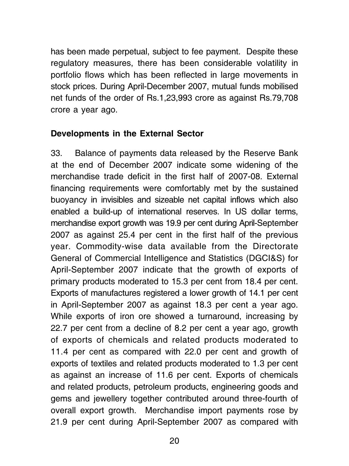has been made perpetual, subject to fee payment. Despite these regulatory measures, there has been considerable volatility in portfolio flows which has been reflected in large movements in stock prices. During April-December 2007, mutual funds mobilised net funds of the order of Rs.1,23,993 crore as against Rs.79,708 crore a year ago.

#### Developments in the External Sector

33. Balance of payments data released by the Reserve Bank at the end of December 2007 indicate some widening of the merchandise trade deficit in the first half of 2007-08. External financing requirements were comfortably met by the sustained buoyancy in invisibles and sizeable net capital inflows which also enabled a build-up of international reserves. In US dollar terms, merchandise export growth was 19.9 per cent during April-September 2007 as against 25.4 per cent in the first half of the previous year. Commodity-wise data available from the Directorate General of Commercial Intelligence and Statistics (DGCI&S) for April-September 2007 indicate that the growth of exports of primary products moderated to 15.3 per cent from 18.4 per cent. Exports of manufactures registered a lower growth of 14.1 per cent in April-September 2007 as against 18.3 per cent a year ago. While exports of iron ore showed a turnaround, increasing by 22.7 per cent from a decline of 8.2 per cent a year ago, growth of exports of chemicals and related products moderated to 11.4 per cent as compared with 22.0 per cent and growth of exports of textiles and related products moderated to 1.3 per cent as against an increase of 11.6 per cent. Exports of chemicals and related products, petroleum products, engineering goods and gems and jewellery together contributed around three-fourth of overall export growth. Merchandise import payments rose by 21.9 per cent during April-September 2007 as compared with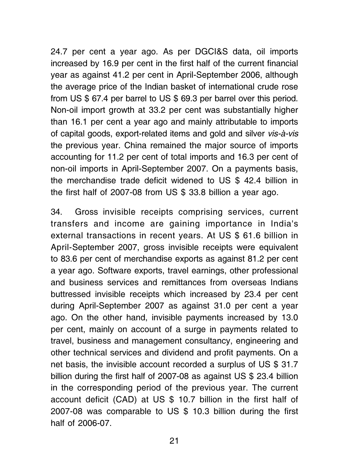24.7 per cent a year ago. As per DGCI&S data, oil imports increased by 16.9 per cent in the first half of the current financial year as against 41.2 per cent in April-September 2006, although the average price of the Indian basket of international crude rose from US \$ 67.4 per barrel to US \$ 69.3 per barrel over this period. Non-oil import growth at 33.2 per cent was substantially higher than 16.1 per cent a year ago and mainly attributable to imports of capital goods, export-related items and gold and silver vis-à-vis the previous year. China remained the major source of imports accounting for 11.2 per cent of total imports and 16.3 per cent of non-oil imports in April-September 2007. On a payments basis, the merchandise trade deficit widened to US \$ 42.4 billion in the first half of 2007-08 from US \$ 33.8 billion a year ago.

34. Gross invisible receipts comprising services, current transfers and income are gaining importance in India's external transactions in recent years. At US \$ 61.6 billion in April-September 2007, gross invisible receipts were equivalent to 83.6 per cent of merchandise exports as against 81.2 per cent a year ago. Software exports, travel earnings, other professional and business services and remittances from overseas Indians buttressed invisible receipts which increased by 23.4 per cent during April-September 2007 as against 31.0 per cent a year ago. On the other hand, invisible payments increased by 13.0 per cent, mainly on account of a surge in payments related to travel, business and management consultancy, engineering and other technical services and dividend and profit payments. On a net basis, the invisible account recorded a surplus of US \$ 31.7 billion during the first half of 2007-08 as against US \$ 23.4 billion in the corresponding period of the previous year. The current account deficit (CAD) at US \$ 10.7 billion in the first half of 2007-08 was comparable to US \$ 10.3 billion during the first half of 2006-07.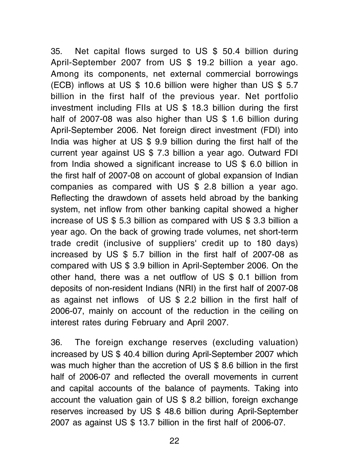35. Net capital flows surged to US \$ 50.4 billion during April-September 2007 from US \$ 19.2 billion a year ago. Among its components, net external commercial borrowings (ECB) inflows at US \$ 10.6 billion were higher than US \$ 5.7 billion in the first half of the previous year. Net portfolio investment including FIIs at US \$ 18.3 billion during the first half of 2007-08 was also higher than US \$ 1.6 billion during April-September 2006. Net foreign direct investment (FDI) into India was higher at US \$ 9.9 billion during the first half of the current year against US \$ 7.3 billion a year ago. Outward FDI from India showed a significant increase to US \$ 6.0 billion in the first half of 2007-08 on account of global expansion of Indian companies as compared with US \$ 2.8 billion a year ago. Reflecting the drawdown of assets held abroad by the banking system, net inflow from other banking capital showed a higher increase of US \$ 5.3 billion as compared with US \$ 3.3 billion a year ago. On the back of growing trade volumes, net short-term trade credit (inclusive of suppliers' credit up to 180 days) increased by US \$ 5.7 billion in the first half of 2007-08 as compared with US \$ 3.9 billion in April-September 2006. On the other hand, there was a net outflow of US \$ 0.1 billion from deposits of non-resident Indians (NRI) in the first half of 2007-08 as against net inflows of US \$ 2.2 billion in the first half of 2006-07, mainly on account of the reduction in the ceiling on interest rates during February and April 2007.

36. The foreign exchange reserves (excluding valuation) increased by US \$ 40.4 billion during April-September 2007 which was much higher than the accretion of US \$ 8.6 billion in the first half of 2006-07 and reflected the overall movements in current and capital accounts of the balance of payments. Taking into account the valuation gain of US \$ 8.2 billion, foreign exchange reserves increased by US \$ 48.6 billion during April-September 2007 as against US \$ 13.7 billion in the first half of 2006-07.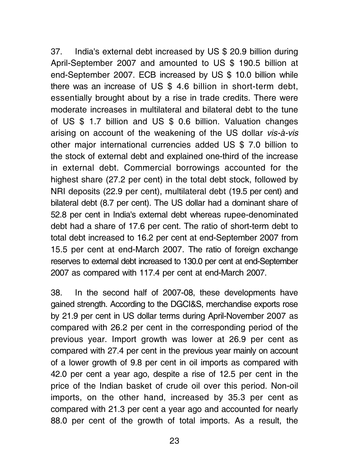37. India's external debt increased by US \$ 20.9 billion during April-September 2007 and amounted to US \$ 190.5 billion at end-September 2007. ECB increased by US \$ 10.0 billion while there was an increase of US \$ 4.6 billion in short-term debt, essentially brought about by a rise in trade credits. There were moderate increases in multilateral and bilateral debt to the tune of US \$ 1.7 billion and US \$ 0.6 billion. Valuation changes arising on account of the weakening of the US dollar vis-à-vis other major international currencies added US \$ 7.0 billion to the stock of external debt and explained one-third of the increase in external debt. Commercial borrowings accounted for the highest share (27.2 per cent) in the total debt stock, followed by NRI deposits (22.9 per cent), multilateral debt (19.5 per cent) and bilateral debt (8.7 per cent). The US dollar had a dominant share of 52.8 per cent in India's external debt whereas rupee-denominated debt had a share of 17.6 per cent. The ratio of short-term debt to total debt increased to 16.2 per cent at end-September 2007 from 15.5 per cent at end-March 2007. The ratio of foreign exchange reserves to external debt increased to 130.0 per cent at end-September 2007 as compared with 117.4 per cent at end-March 2007.

38. In the second half of 2007-08, these developments have gained strength. According to the DGCI&S, merchandise exports rose by 21.9 per cent in US dollar terms during April-November 2007 as compared with 26.2 per cent in the corresponding period of the previous year. Import growth was lower at 26.9 per cent as compared with 27.4 per cent in the previous year mainly on account of a lower growth of 9.8 per cent in oil imports as compared with 42.0 per cent a year ago, despite a rise of 12.5 per cent in the price of the Indian basket of crude oil over this period. Non-oil imports, on the other hand, increased by 35.3 per cent as compared with 21.3 per cent a year ago and accounted for nearly 88.0 per cent of the growth of total imports. As a result, the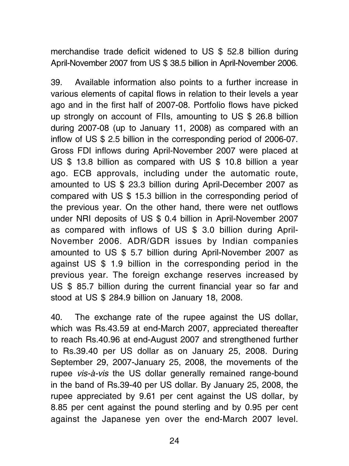merchandise trade deficit widened to US \$ 52.8 billion during April-November 2007 from US \$ 38.5 billion in April-November 2006.

39. Available information also points to a further increase in various elements of capital flows in relation to their levels a year ago and in the first half of 2007-08. Portfolio flows have picked up strongly on account of FIIs, amounting to US \$ 26.8 billion during 2007-08 (up to January 11, 2008) as compared with an inflow of US \$ 2.5 billion in the corresponding period of 2006-07. Gross FDI inflows during April-November 2007 were placed at US \$ 13.8 billion as compared with US \$ 10.8 billion a year ago. ECB approvals, including under the automatic route, amounted to US \$ 23.3 billion during April-December 2007 as compared with US \$ 15.3 billion in the corresponding period of the previous year. On the other hand, there were net outflows under NRI deposits of US \$ 0.4 billion in April-November 2007 as compared with inflows of US \$ 3.0 billion during April-November 2006. ADR/GDR issues by Indian companies amounted to US \$ 5.7 billion during April-November 2007 as against US \$ 1.9 billion in the corresponding period in the previous year. The foreign exchange reserves increased by US \$ 85.7 billion during the current financial year so far and stood at US \$ 284.9 billion on January 18, 2008.

40. The exchange rate of the rupee against the US dollar, which was Rs.43.59 at end-March 2007, appreciated thereafter to reach Rs.40.96 at end-August 2007 and strengthened further to Rs.39.40 per US dollar as on January 25, 2008. During September 29, 2007-January 25, 2008, the movements of the rupee vis-à-vis the US dollar generally remained range-bound in the band of Rs.39-40 per US dollar. By January 25, 2008, the rupee appreciated by 9.61 per cent against the US dollar, by 8.85 per cent against the pound sterling and by 0.95 per cent against the Japanese yen over the end-March 2007 level.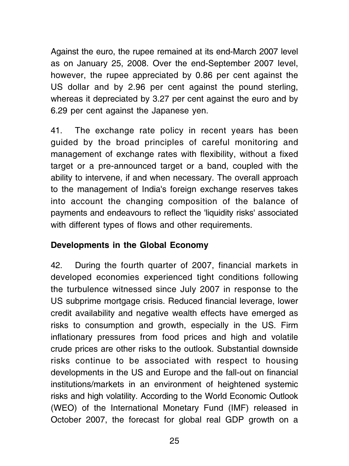Against the euro, the rupee remained at its end-March 2007 level as on January 25, 2008. Over the end-September 2007 level, however, the rupee appreciated by 0.86 per cent against the US dollar and by 2.96 per cent against the pound sterling, whereas it depreciated by 3.27 per cent against the euro and by 6.29 per cent against the Japanese yen.

41. The exchange rate policy in recent years has been guided by the broad principles of careful monitoring and management of exchange rates with flexibility, without a fixed target or a pre-announced target or a band, coupled with the ability to intervene, if and when necessary. The overall approach to the management of India's foreign exchange reserves takes into account the changing composition of the balance of payments and endeavours to reflect the 'liquidity risks' associated with different types of flows and other requirements.

#### Developments in the Global Economy

42. During the fourth quarter of 2007, financial markets in developed economies experienced tight conditions following the turbulence witnessed since July 2007 in response to the US subprime mortgage crisis. Reduced financial leverage, lower credit availability and negative wealth effects have emerged as risks to consumption and growth, especially in the US. Firm inflationary pressures from food prices and high and volatile crude prices are other risks to the outlook. Substantial downside risks continue to be associated with respect to housing developments in the US and Europe and the fall-out on financial institutions/markets in an environment of heightened systemic risks and high volatility. According to the World Economic Outlook (WEO) of the International Monetary Fund (IMF) released in October 2007, the forecast for global real GDP growth on a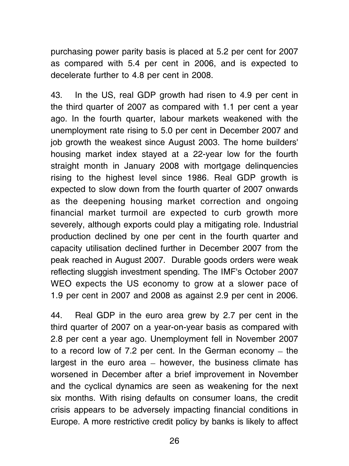purchasing power parity basis is placed at 5.2 per cent for 2007 as compared with 5.4 per cent in 2006, and is expected to decelerate further to 4.8 per cent in 2008.

43. In the US, real GDP growth had risen to 4.9 per cent in the third quarter of 2007 as compared with 1.1 per cent a year ago. In the fourth quarter, labour markets weakened with the unemployment rate rising to 5.0 per cent in December 2007 and job growth the weakest since August 2003. The home builders' housing market index stayed at a 22-year low for the fourth straight month in January 2008 with mortgage delinquencies rising to the highest level since 1986. Real GDP growth is expected to slow down from the fourth quarter of 2007 onwards as the deepening housing market correction and ongoing financial market turmoil are expected to curb growth more severely, although exports could play a mitigating role. Industrial production declined by one per cent in the fourth quarter and capacity utilisation declined further in December 2007 from the peak reached in August 2007. Durable goods orders were weak reflecting sluggish investment spending. The IMF's October 2007 WEO expects the US economy to grow at a slower pace of 1.9 per cent in 2007 and 2008 as against 2.9 per cent in 2006.

44. Real GDP in the euro area grew by 2.7 per cent in the third quarter of 2007 on a year-on-year basis as compared with 2.8 per cent a year ago. Unemployment fell in November 2007 to a record low of 7.2 per cent. In the German economy  $-$  the largest in the euro area  $-$  however, the business climate has worsened in December after a brief improvement in November and the cyclical dynamics are seen as weakening for the next six months. With rising defaults on consumer loans, the credit crisis appears to be adversely impacting financial conditions in Europe. A more restrictive credit policy by banks is likely to affect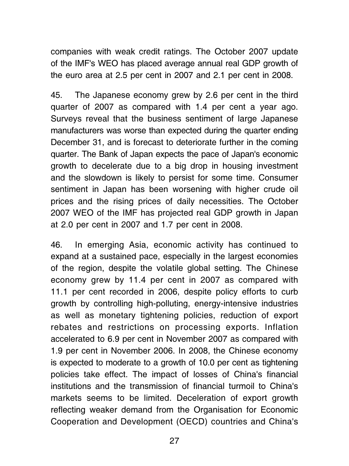companies with weak credit ratings. The October 2007 update of the IMF's WEO has placed average annual real GDP growth of the euro area at 2.5 per cent in 2007 and 2.1 per cent in 2008.

45. The Japanese economy grew by 2.6 per cent in the third quarter of 2007 as compared with 1.4 per cent a year ago. Surveys reveal that the business sentiment of large Japanese manufacturers was worse than expected during the quarter ending December 31, and is forecast to deteriorate further in the coming quarter. The Bank of Japan expects the pace of Japan's economic growth to decelerate due to a big drop in housing investment and the slowdown is likely to persist for some time. Consumer sentiment in Japan has been worsening with higher crude oil prices and the rising prices of daily necessities. The October 2007 WEO of the IMF has projected real GDP growth in Japan at 2.0 per cent in 2007 and 1.7 per cent in 2008.

46. In emerging Asia, economic activity has continued to expand at a sustained pace, especially in the largest economies of the region, despite the volatile global setting. The Chinese economy grew by 11.4 per cent in 2007 as compared with 11.1 per cent recorded in 2006, despite policy efforts to curb growth by controlling high-polluting, energy-intensive industries as well as monetary tightening policies, reduction of export rebates and restrictions on processing exports. Inflation accelerated to 6.9 per cent in November 2007 as compared with 1.9 per cent in November 2006. In 2008, the Chinese economy is expected to moderate to a growth of 10.0 per cent as tightening policies take effect. The impact of losses of China's financial institutions and the transmission of financial turmoil to China's markets seems to be limited. Deceleration of export growth reflecting weaker demand from the Organisation for Economic Cooperation and Development (OECD) countries and China's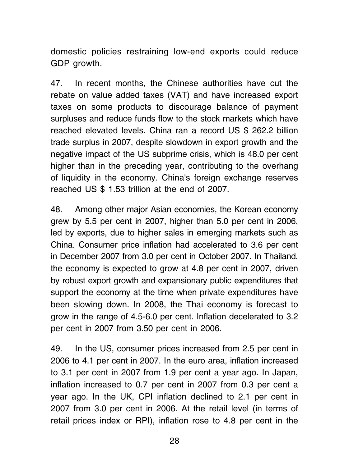domestic policies restraining low-end exports could reduce GDP growth.

47. In recent months, the Chinese authorities have cut the rebate on value added taxes (VAT) and have increased export taxes on some products to discourage balance of payment surpluses and reduce funds flow to the stock markets which have reached elevated levels. China ran a record US \$ 262.2 billion trade surplus in 2007, despite slowdown in export growth and the negative impact of the US subprime crisis, which is 48.0 per cent higher than in the preceding year, contributing to the overhang of liquidity in the economy. China's foreign exchange reserves reached US \$ 1.53 trillion at the end of 2007.

48. Among other major Asian economies, the Korean economy grew by 5.5 per cent in 2007, higher than 5.0 per cent in 2006, led by exports, due to higher sales in emerging markets such as China. Consumer price inflation had accelerated to 3.6 per cent in December 2007 from 3.0 per cent in October 2007. In Thailand, the economy is expected to grow at 4.8 per cent in 2007, driven by robust export growth and expansionary public expenditures that support the economy at the time when private expenditures have been slowing down. In 2008, the Thai economy is forecast to grow in the range of 4.5-6.0 per cent. Inflation decelerated to 3.2 per cent in 2007 from 3.50 per cent in 2006.

49. In the US, consumer prices increased from 2.5 per cent in 2006 to 4.1 per cent in 2007. In the euro area, inflation increased to 3.1 per cent in 2007 from 1.9 per cent a year ago. In Japan, inflation increased to 0.7 per cent in 2007 from 0.3 per cent a year ago. In the UK, CPI inflation declined to 2.1 per cent in 2007 from 3.0 per cent in 2006. At the retail level (in terms of retail prices index or RPI), inflation rose to 4.8 per cent in the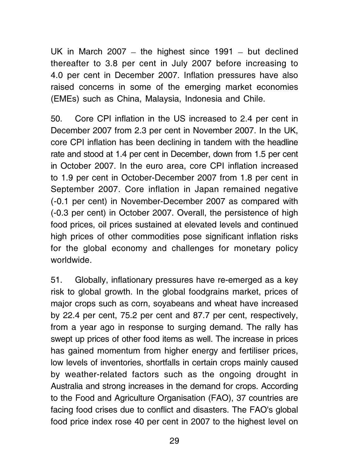UK in March 2007  $-$  the highest since 1991  $-$  but declined thereafter to 3.8 per cent in July 2007 before increasing to 4.0 per cent in December 2007. Inflation pressures have also raised concerns in some of the emerging market economies (EMEs) such as China, Malaysia, Indonesia and Chile.

50. Core CPI inflation in the US increased to 2.4 per cent in December 2007 from 2.3 per cent in November 2007. In the UK, core CPI inflation has been declining in tandem with the headline rate and stood at 1.4 per cent in December, down from 1.5 per cent in October 2007. In the euro area, core CPI inflation increased to 1.9 per cent in October-December 2007 from 1.8 per cent in September 2007. Core inflation in Japan remained negative (-0.1 per cent) in November-December 2007 as compared with (-0.3 per cent) in October 2007. Overall, the persistence of high food prices, oil prices sustained at elevated levels and continued high prices of other commodities pose significant inflation risks for the global economy and challenges for monetary policy worldwide.

51. Globally, inflationary pressures have re-emerged as a key risk to global growth. In the global foodgrains market, prices of major crops such as corn, soyabeans and wheat have increased by 22.4 per cent, 75.2 per cent and 87.7 per cent, respectively, from a year ago in response to surging demand. The rally has swept up prices of other food items as well. The increase in prices has gained momentum from higher energy and fertiliser prices, low levels of inventories, shortfalls in certain crops mainly caused by weather-related factors such as the ongoing drought in Australia and strong increases in the demand for crops. According to the Food and Agriculture Organisation (FAO), 37 countries are facing food crises due to conflict and disasters. The FAO's global food price index rose 40 per cent in 2007 to the highest level on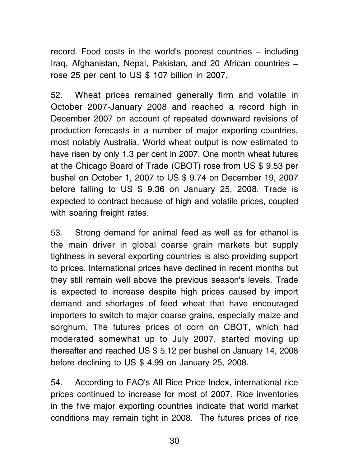record. Food costs in the world's poorest countries – including Iraq, Afghanistan, Nepal, Pakistan, and 20 African countries rose 25 per cent to US \$ 107 billion in 2007.

52. Wheat prices remained generally firm and volatile in October 2007-January 2008 and reached a record high in December 2007 on account of repeated downward revisions of production forecasts in a number of major exporting countries, most notably Australia. World wheat output is now estimated to have risen by only 1.3 per cent in 2007. One month wheat futures at the Chicago Board of Trade (CBOT) rose from US \$ 9.53 per bushel on October 1, 2007 to US \$ 9.74 on December 19, 2007 before falling to US \$ 9.36 on January 25, 2008. Trade is expected to contract because of high and volatile prices, coupled with soaring freight rates.

53. Strong demand for animal feed as well as for ethanol is the main driver in global coarse grain markets but supply tightness in several exporting countries is also providing support to prices. International prices have declined in recent months but they still remain well above the previous season's levels. Trade is expected to increase despite high prices caused by import demand and shortages of feed wheat that have encouraged importers to switch to major coarse grains, especially maize and sorghum. The futures prices of corn on CBOT, which had moderated somewhat up to July 2007, started moving up thereafter and reached US \$ 5.12 per bushel on January 14, 2008 before declining to US \$ 4.99 on January 25, 2008.

54. According to FAO's All Rice Price Index, international rice prices continued to increase for most of 2007. Rice inventories in the five major exporting countries indicate that world market conditions may remain tight in 2008. The futures prices of rice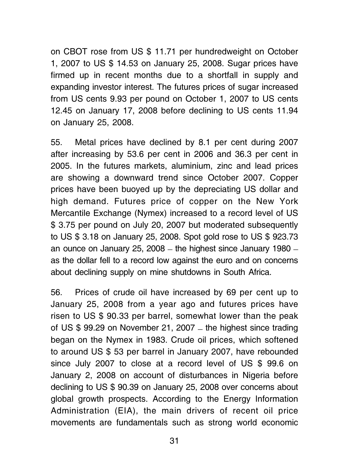on CBOT rose from US \$ 11.71 per hundredweight on October 1, 2007 to US \$ 14.53 on January 25, 2008. Sugar prices have firmed up in recent months due to a shortfall in supply and expanding investor interest. The futures prices of sugar increased from US cents 9.93 per pound on October 1, 2007 to US cents 12.45 on January 17, 2008 before declining to US cents 11.94 on January 25, 2008.

55. Metal prices have declined by 8.1 per cent during 2007 after increasing by 53.6 per cent in 2006 and 36.3 per cent in 2005. In the futures markets, aluminium, zinc and lead prices are showing a downward trend since October 2007. Copper prices have been buoyed up by the depreciating US dollar and high demand. Futures price of copper on the New York Mercantile Exchange (Nymex) increased to a record level of US \$ 3.75 per pound on July 20, 2007 but moderated subsequently to US \$ 3.18 on January 25, 2008. Spot gold rose to US \$ 923.73 an ounce on January 25, 2008  $-$  the highest since January 1980  $$ as the dollar fell to a record low against the euro and on concerns about declining supply on mine shutdowns in South Africa.

56. Prices of crude oil have increased by 69 per cent up to January 25, 2008 from a year ago and futures prices have risen to US \$ 90.33 per barrel, somewhat lower than the peak of US  $$ 99.29$  on November 21, 2007 – the highest since trading began on the Nymex in 1983. Crude oil prices, which softened to around US \$ 53 per barrel in January 2007, have rebounded since July 2007 to close at a record level of US \$ 99.6 on January 2, 2008 on account of disturbances in Nigeria before declining to US \$ 90.39 on January 25, 2008 over concerns about global growth prospects. According to the Energy Information Administration (EIA), the main drivers of recent oil price movements are fundamentals such as strong world economic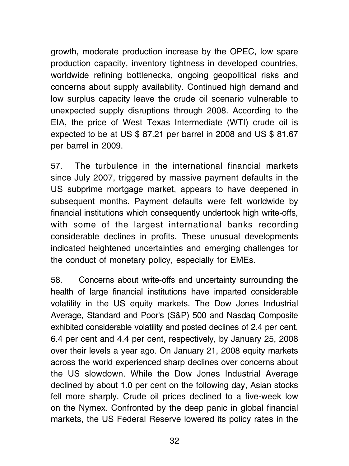growth, moderate production increase by the OPEC, low spare production capacity, inventory tightness in developed countries, worldwide refining bottlenecks, ongoing geopolitical risks and concerns about supply availability. Continued high demand and low surplus capacity leave the crude oil scenario vulnerable to unexpected supply disruptions through 2008. According to the EIA, the price of West Texas Intermediate (WTI) crude oil is expected to be at US \$ 87.21 per barrel in 2008 and US \$ 81.67 per barrel in 2009.

57. The turbulence in the international financial markets since July 2007, triggered by massive payment defaults in the US subprime mortgage market, appears to have deepened in subsequent months. Payment defaults were felt worldwide by financial institutions which consequently undertook high write-offs, with some of the largest international banks recording considerable declines in profits. These unusual developments indicated heightened uncertainties and emerging challenges for the conduct of monetary policy, especially for EMEs.

58. Concerns about write-offs and uncertainty surrounding the health of large financial institutions have imparted considerable volatility in the US equity markets. The Dow Jones Industrial Average, Standard and Poor's (S&P) 500 and Nasdaq Composite exhibited considerable volatility and posted declines of 2.4 per cent, 6.4 per cent and 4.4 per cent, respectively, by January 25, 2008 over their levels a year ago. On January 21, 2008 equity markets across the world experienced sharp declines over concerns about the US slowdown. While the Dow Jones Industrial Average declined by about 1.0 per cent on the following day, Asian stocks fell more sharply. Crude oil prices declined to a five-week low on the Nymex. Confronted by the deep panic in global financial markets, the US Federal Reserve lowered its policy rates in the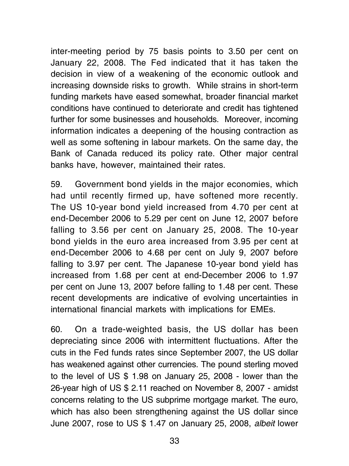inter-meeting period by 75 basis points to 3.50 per cent on January 22, 2008. The Fed indicated that it has taken the decision in view of a weakening of the economic outlook and increasing downside risks to growth. While strains in short-term funding markets have eased somewhat, broader financial market conditions have continued to deteriorate and credit has tightened further for some businesses and households. Moreover, incoming information indicates a deepening of the housing contraction as well as some softening in labour markets. On the same day, the Bank of Canada reduced its policy rate. Other major central banks have, however, maintained their rates.

59. Government bond yields in the major economies, which had until recently firmed up, have softened more recently. The US 10-year bond yield increased from 4.70 per cent at end-December 2006 to 5.29 per cent on June 12, 2007 before falling to 3.56 per cent on January 25, 2008. The 10-year bond yields in the euro area increased from 3.95 per cent at end-December 2006 to 4.68 per cent on July 9, 2007 before falling to 3.97 per cent. The Japanese 10-year bond yield has increased from 1.68 per cent at end-December 2006 to 1.97 per cent on June 13, 2007 before falling to 1.48 per cent. These recent developments are indicative of evolving uncertainties in international financial markets with implications for EMEs.

60. On a trade-weighted basis, the US dollar has been depreciating since 2006 with intermittent fluctuations. After the cuts in the Fed funds rates since September 2007, the US dollar has weakened against other currencies. The pound sterling moved to the level of US \$ 1.98 on January 25, 2008 - lower than the 26-year high of US \$ 2.11 reached on November 8, 2007 - amidst concerns relating to the US subprime mortgage market. The euro, which has also been strengthening against the US dollar since June 2007, rose to US \$ 1.47 on January 25, 2008, albeit lower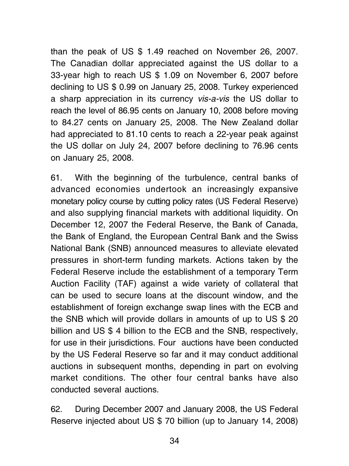than the peak of US \$ 1.49 reached on November 26, 2007. The Canadian dollar appreciated against the US dollar to a 33-year high to reach US \$ 1.09 on November 6, 2007 before declining to US \$ 0.99 on January 25, 2008. Turkey experienced a sharp appreciation in its currency vis-a-vis the US dollar to reach the level of 86.95 cents on January 10, 2008 before moving to 84.27 cents on January 25, 2008. The New Zealand dollar had appreciated to 81.10 cents to reach a 22-year peak against the US dollar on July 24, 2007 before declining to 76.96 cents on January 25, 2008.

61. With the beginning of the turbulence, central banks of advanced economies undertook an increasingly expansive monetary policy course by cutting policy rates (US Federal Reserve) and also supplying financial markets with additional liquidity. On December 12, 2007 the Federal Reserve, the Bank of Canada, the Bank of England, the European Central Bank and the Swiss National Bank (SNB) announced measures to alleviate elevated pressures in short-term funding markets. Actions taken by the Federal Reserve include the establishment of a temporary Term Auction Facility (TAF) against a wide variety of collateral that can be used to secure loans at the discount window, and the establishment of foreign exchange swap lines with the ECB and the SNB which will provide dollars in amounts of up to US \$ 20 billion and US \$ 4 billion to the ECB and the SNB, respectively, for use in their jurisdictions. Four auctions have been conducted by the US Federal Reserve so far and it may conduct additional auctions in subsequent months, depending in part on evolving market conditions. The other four central banks have also conducted several auctions.

62. During December 2007 and January 2008, the US Federal Reserve injected about US \$ 70 billion (up to January 14, 2008)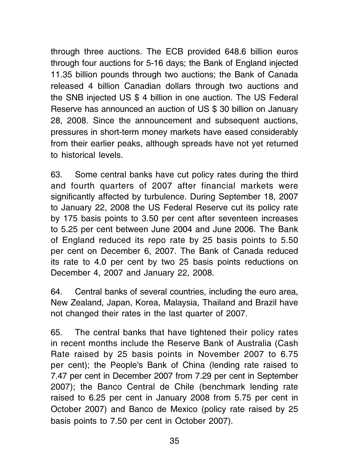through three auctions. The ECB provided 648.6 billion euros through four auctions for 5-16 days; the Bank of England injected 11.35 billion pounds through two auctions; the Bank of Canada released 4 billion Canadian dollars through two auctions and the SNB injected US \$ 4 billion in one auction. The US Federal Reserve has announced an auction of US \$ 30 billion on January 28, 2008. Since the announcement and subsequent auctions, pressures in short-term money markets have eased considerably from their earlier peaks, although spreads have not yet returned to historical levels.

63. Some central banks have cut policy rates during the third and fourth quarters of 2007 after financial markets were significantly affected by turbulence. During September 18, 2007 to January 22, 2008 the US Federal Reserve cut its policy rate by 175 basis points to 3.50 per cent after seventeen increases to 5.25 per cent between June 2004 and June 2006. The Bank of England reduced its repo rate by 25 basis points to 5.50 per cent on December 6, 2007. The Bank of Canada reduced its rate to 4.0 per cent by two 25 basis points reductions on December 4, 2007 and January 22, 2008.

64. Central banks of several countries, including the euro area, New Zealand, Japan, Korea, Malaysia, Thailand and Brazil have not changed their rates in the last quarter of 2007.

65. The central banks that have tightened their policy rates in recent months include the Reserve Bank of Australia (Cash Rate raised by 25 basis points in November 2007 to 6.75 per cent); the People's Bank of China (lending rate raised to 7.47 per cent in December 2007 from 7.29 per cent in September 2007); the Banco Central de Chile (benchmark lending rate raised to 6.25 per cent in January 2008 from 5.75 per cent in October 2007) and Banco de Mexico (policy rate raised by 25 basis points to 7.50 per cent in October 2007).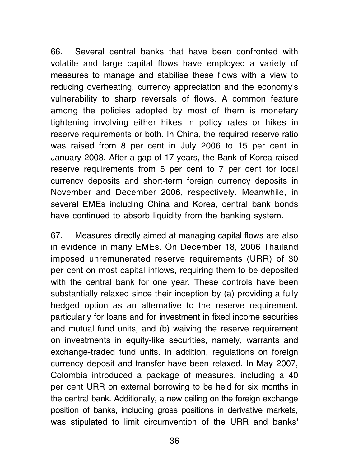66. Several central banks that have been confronted with volatile and large capital flows have employed a variety of measures to manage and stabilise these flows with a view to reducing overheating, currency appreciation and the economy's vulnerability to sharp reversals of flows. A common feature among the policies adopted by most of them is monetary tightening involving either hikes in policy rates or hikes in reserve requirements or both. In China, the required reserve ratio was raised from 8 per cent in July 2006 to 15 per cent in January 2008. After a gap of 17 years, the Bank of Korea raised reserve requirements from 5 per cent to 7 per cent for local currency deposits and short-term foreign currency deposits in November and December 2006, respectively. Meanwhile, in several EMEs including China and Korea, central bank bonds have continued to absorb liquidity from the banking system.

67. Measures directly aimed at managing capital flows are also in evidence in many EMEs. On December 18, 2006 Thailand imposed unremunerated reserve requirements (URR) of 30 per cent on most capital inflows, requiring them to be deposited with the central bank for one year. These controls have been substantially relaxed since their inception by (a) providing a fully hedged option as an alternative to the reserve requirement, particularly for loans and for investment in fixed income securities and mutual fund units, and (b) waiving the reserve requirement on investments in equity-like securities, namely, warrants and exchange-traded fund units. In addition, regulations on foreign currency deposit and transfer have been relaxed. In May 2007, Colombia introduced a package of measures, including a 40 per cent URR on external borrowing to be held for six months in the central bank. Additionally, a new ceiling on the foreign exchange position of banks, including gross positions in derivative markets, was stipulated to limit circumvention of the URR and banks'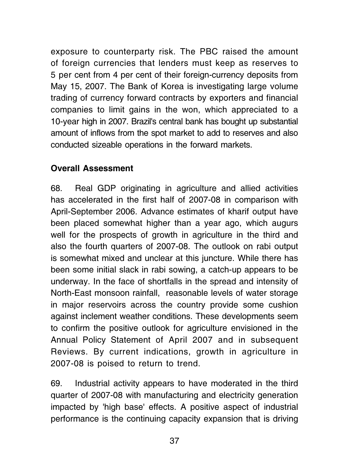exposure to counterparty risk. The PBC raised the amount of foreign currencies that lenders must keep as reserves to 5 per cent from 4 per cent of their foreign-currency deposits from May 15, 2007. The Bank of Korea is investigating large volume trading of currency forward contracts by exporters and financial companies to limit gains in the won, which appreciated to a 10-year high in 2007. Brazil's central bank has bought up substantial amount of inflows from the spot market to add to reserves and also conducted sizeable operations in the forward markets.

### Overall Assessment

68. Real GDP originating in agriculture and allied activities has accelerated in the first half of 2007-08 in comparison with April-September 2006. Advance estimates of kharif output have been placed somewhat higher than a year ago, which augurs well for the prospects of growth in agriculture in the third and also the fourth quarters of 2007-08. The outlook on rabi output is somewhat mixed and unclear at this juncture. While there has been some initial slack in rabi sowing, a catch-up appears to be underway. In the face of shortfalls in the spread and intensity of North-East monsoon rainfall, reasonable levels of water storage in major reservoirs across the country provide some cushion against inclement weather conditions. These developments seem to confirm the positive outlook for agriculture envisioned in the Annual Policy Statement of April 2007 and in subsequent Reviews. By current indications, growth in agriculture in 2007-08 is poised to return to trend.

69. Industrial activity appears to have moderated in the third quarter of 2007-08 with manufacturing and electricity generation impacted by 'high base' effects. A positive aspect of industrial performance is the continuing capacity expansion that is driving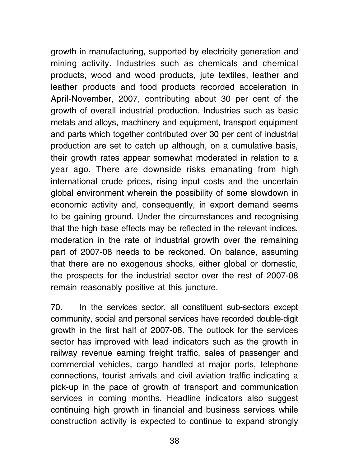growth in manufacturing, supported by electricity generation and mining activity. Industries such as chemicals and chemical products, wood and wood products, jute textiles, leather and leather products and food products recorded acceleration in April-November, 2007, contributing about 30 per cent of the growth of overall industrial production. Industries such as basic metals and alloys, machinery and equipment, transport equipment and parts which together contributed over 30 per cent of industrial production are set to catch up although, on a cumulative basis, their growth rates appear somewhat moderated in relation to a year ago. There are downside risks emanating from high international crude prices, rising input costs and the uncertain global environment wherein the possibility of some slowdown in economic activity and, consequently, in export demand seems to be gaining ground. Under the circumstances and recognising that the high base effects may be reflected in the relevant indices, moderation in the rate of industrial growth over the remaining part of 2007-08 needs to be reckoned. On balance, assuming that there are no exogenous shocks, either global or domestic, the prospects for the industrial sector over the rest of 2007-08 remain reasonably positive at this juncture.

70. In the services sector, all constituent sub-sectors except community, social and personal services have recorded double-digit growth in the first half of 2007-08. The outlook for the services sector has improved with lead indicators such as the growth in railway revenue earning freight traffic, sales of passenger and commercial vehicles, cargo handled at major ports, telephone connections, tourist arrivals and civil aviation traffic indicating a pick-up in the pace of growth of transport and communication services in coming months. Headline indicators also suggest continuing high growth in financial and business services while construction activity is expected to continue to expand strongly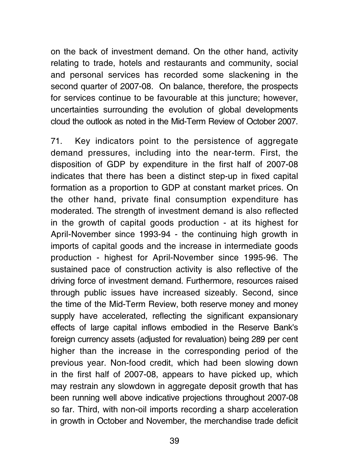on the back of investment demand. On the other hand, activity relating to trade, hotels and restaurants and community, social and personal services has recorded some slackening in the second quarter of 2007-08. On balance, therefore, the prospects for services continue to be favourable at this juncture; however, uncertainties surrounding the evolution of global developments cloud the outlook as noted in the Mid-Term Review of October 2007.

71. Key indicators point to the persistence of aggregate demand pressures, including into the near-term. First, the disposition of GDP by expenditure in the first half of 2007-08 indicates that there has been a distinct step-up in fixed capital formation as a proportion to GDP at constant market prices. On the other hand, private final consumption expenditure has moderated. The strength of investment demand is also reflected in the growth of capital goods production - at its highest for April-November since 1993-94 - the continuing high growth in imports of capital goods and the increase in intermediate goods production - highest for April-November since 1995-96. The sustained pace of construction activity is also reflective of the driving force of investment demand. Furthermore, resources raised through public issues have increased sizeably. Second, since the time of the Mid-Term Review, both reserve money and money supply have accelerated, reflecting the significant expansionary effects of large capital inflows embodied in the Reserve Bank's foreign currency assets (adjusted for revaluation) being 289 per cent higher than the increase in the corresponding period of the previous year. Non-food credit, which had been slowing down in the first half of 2007-08, appears to have picked up, which may restrain any slowdown in aggregate deposit growth that has been running well above indicative projections throughout 2007-08 so far. Third, with non-oil imports recording a sharp acceleration in growth in October and November, the merchandise trade deficit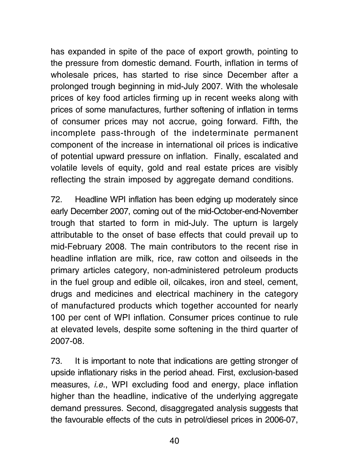has expanded in spite of the pace of export growth, pointing to the pressure from domestic demand. Fourth, inflation in terms of wholesale prices, has started to rise since December after a prolonged trough beginning in mid-July 2007. With the wholesale prices of key food articles firming up in recent weeks along with prices of some manufactures, further softening of inflation in terms of consumer prices may not accrue, going forward. Fifth, the incomplete pass-through of the indeterminate permanent component of the increase in international oil prices is indicative of potential upward pressure on inflation. Finally, escalated and volatile levels of equity, gold and real estate prices are visibly reflecting the strain imposed by aggregate demand conditions.

72. Headline WPI inflation has been edging up moderately since early December 2007, coming out of the mid-October-end-November trough that started to form in mid-July. The upturn is largely attributable to the onset of base effects that could prevail up to mid-February 2008. The main contributors to the recent rise in headline inflation are milk, rice, raw cotton and oilseeds in the primary articles category, non-administered petroleum products in the fuel group and edible oil, oilcakes, iron and steel, cement, drugs and medicines and electrical machinery in the category of manufactured products which together accounted for nearly 100 per cent of WPI inflation. Consumer prices continue to rule at elevated levels, despite some softening in the third quarter of 2007-08.

73. It is important to note that indications are getting stronger of upside inflationary risks in the period ahead. First, exclusion-based measures, i.e., WPI excluding food and energy, place inflation higher than the headline, indicative of the underlying aggregate demand pressures. Second, disaggregated analysis suggests that the favourable effects of the cuts in petrol/diesel prices in 2006-07,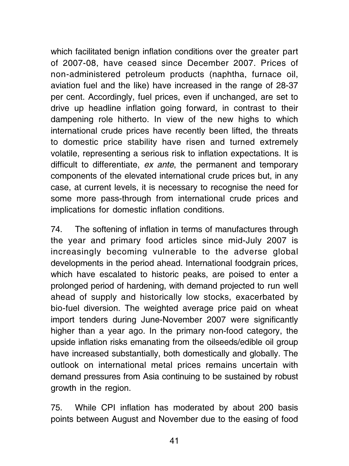which facilitated benign inflation conditions over the greater part of 2007-08, have ceased since December 2007. Prices of non-administered petroleum products (naphtha, furnace oil, aviation fuel and the like) have increased in the range of 28-37 per cent. Accordingly, fuel prices, even if unchanged, are set to drive up headline inflation going forward, in contrast to their dampening role hitherto. In view of the new highs to which international crude prices have recently been lifted, the threats to domestic price stability have risen and turned extremely volatile, representing a serious risk to inflation expectations. It is difficult to differentiate, ex ante, the permanent and temporary components of the elevated international crude prices but, in any case, at current levels, it is necessary to recognise the need for some more pass-through from international crude prices and implications for domestic inflation conditions.

74. The softening of inflation in terms of manufactures through the year and primary food articles since mid-July 2007 is increasingly becoming vulnerable to the adverse global developments in the period ahead. International foodgrain prices, which have escalated to historic peaks, are poised to enter a prolonged period of hardening, with demand projected to run well ahead of supply and historically low stocks, exacerbated by bio-fuel diversion. The weighted average price paid on wheat import tenders during June-November 2007 were significantly higher than a year ago. In the primary non-food category, the upside inflation risks emanating from the oilseeds/edible oil group have increased substantially, both domestically and globally. The outlook on international metal prices remains uncertain with demand pressures from Asia continuing to be sustained by robust growth in the region.

75. While CPI inflation has moderated by about 200 basis points between August and November due to the easing of food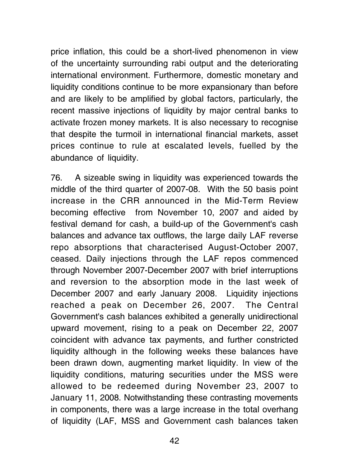price inflation, this could be a short-lived phenomenon in view of the uncertainty surrounding rabi output and the deteriorating international environment. Furthermore, domestic monetary and liquidity conditions continue to be more expansionary than before and are likely to be amplified by global factors, particularly, the recent massive injections of liquidity by major central banks to activate frozen money markets. It is also necessary to recognise that despite the turmoil in international financial markets, asset prices continue to rule at escalated levels, fuelled by the abundance of liquidity.

76. A sizeable swing in liquidity was experienced towards the middle of the third quarter of 2007-08. With the 50 basis point increase in the CRR announced in the Mid-Term Review becoming effective from November 10, 2007 and aided by festival demand for cash, a build-up of the Government's cash balances and advance tax outflows, the large daily LAF reverse repo absorptions that characterised August-October 2007, ceased. Daily injections through the LAF repos commenced through November 2007-December 2007 with brief interruptions and reversion to the absorption mode in the last week of December 2007 and early January 2008. Liquidity injections reached a peak on December 26, 2007. The Central Government's cash balances exhibited a generally unidirectional upward movement, rising to a peak on December 22, 2007 coincident with advance tax payments, and further constricted liquidity although in the following weeks these balances have been drawn down, augmenting market liquidity. In view of the liquidity conditions, maturing securities under the MSS were allowed to be redeemed during November 23, 2007 to January 11, 2008. Notwithstanding these contrasting movements in components, there was a large increase in the total overhang of liquidity (LAF, MSS and Government cash balances taken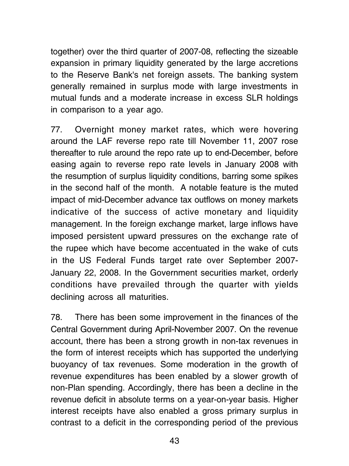together) over the third quarter of 2007-08, reflecting the sizeable expansion in primary liquidity generated by the large accretions to the Reserve Bank's net foreign assets. The banking system generally remained in surplus mode with large investments in mutual funds and a moderate increase in excess SLR holdings in comparison to a year ago.

77. Overnight money market rates, which were hovering around the LAF reverse repo rate till November 11, 2007 rose thereafter to rule around the repo rate up to end-December, before easing again to reverse repo rate levels in January 2008 with the resumption of surplus liquidity conditions, barring some spikes in the second half of the month. A notable feature is the muted impact of mid-December advance tax outflows on money markets indicative of the success of active monetary and liquidity management. In the foreign exchange market, large inflows have imposed persistent upward pressures on the exchange rate of the rupee which have become accentuated in the wake of cuts in the US Federal Funds target rate over September 2007- January 22, 2008. In the Government securities market, orderly conditions have prevailed through the quarter with yields declining across all maturities.

78. There has been some improvement in the finances of the Central Government during April-November 2007. On the revenue account, there has been a strong growth in non-tax revenues in the form of interest receipts which has supported the underlying buoyancy of tax revenues. Some moderation in the growth of revenue expenditures has been enabled by a slower growth of non-Plan spending. Accordingly, there has been a decline in the revenue deficit in absolute terms on a year-on-year basis. Higher interest receipts have also enabled a gross primary surplus in contrast to a deficit in the corresponding period of the previous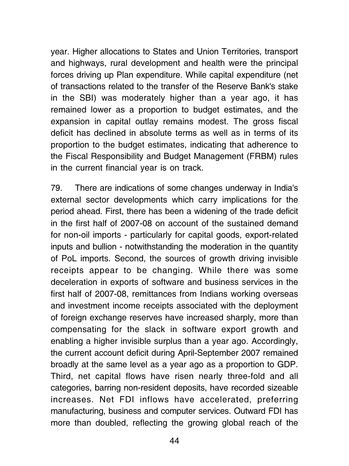year. Higher allocations to States and Union Territories, transport and highways, rural development and health were the principal forces driving up Plan expenditure. While capital expenditure (net of transactions related to the transfer of the Reserve Bank's stake in the SBI) was moderately higher than a year ago, it has remained lower as a proportion to budget estimates, and the expansion in capital outlay remains modest. The gross fiscal deficit has declined in absolute terms as well as in terms of its proportion to the budget estimates, indicating that adherence to the Fiscal Responsibility and Budget Management (FRBM) rules in the current financial year is on track.

79. There are indications of some changes underway in India's external sector developments which carry implications for the period ahead. First, there has been a widening of the trade deficit in the first half of 2007-08 on account of the sustained demand for non-oil imports - particularly for capital goods, export-related inputs and bullion - notwithstanding the moderation in the quantity of PoL imports. Second, the sources of growth driving invisible receipts appear to be changing. While there was some deceleration in exports of software and business services in the first half of 2007-08, remittances from Indians working overseas and investment income receipts associated with the deployment of foreign exchange reserves have increased sharply, more than compensating for the slack in software export growth and enabling a higher invisible surplus than a year ago. Accordingly, the current account deficit during April-September 2007 remained broadly at the same level as a year ago as a proportion to GDP. Third, net capital flows have risen nearly three-fold and all categories, barring non-resident deposits, have recorded sizeable increases. Net FDI inflows have accelerated, preferring manufacturing, business and computer services. Outward FDI has more than doubled, reflecting the growing global reach of the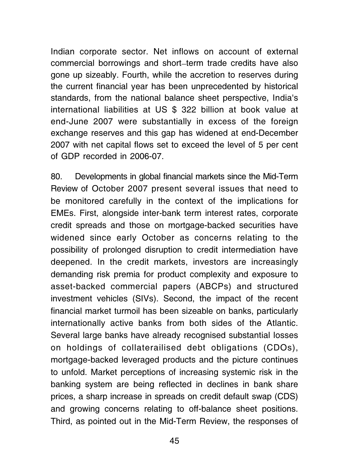Indian corporate sector. Net inflows on account of external commercial borrowings and short\_term trade credits have also gone up sizeably. Fourth, while the accretion to reserves during the current financial year has been unprecedented by historical standards, from the national balance sheet perspective, India's international liabilities at US \$ 322 billion at book value at end-June 2007 were substantially in excess of the foreign exchange reserves and this gap has widened at end-December 2007 with net capital flows set to exceed the level of 5 per cent of GDP recorded in 2006-07.

80. Developments in global financial markets since the Mid-Term Review of October 2007 present several issues that need to be monitored carefully in the context of the implications for EMEs. First, alongside inter-bank term interest rates, corporate credit spreads and those on mortgage-backed securities have widened since early October as concerns relating to the possibility of prolonged disruption to credit intermediation have deepened. In the credit markets, investors are increasingly demanding risk premia for product complexity and exposure to asset-backed commercial papers (ABCPs) and structured investment vehicles (SIVs). Second, the impact of the recent financial market turmoil has been sizeable on banks, particularly internationally active banks from both sides of the Atlantic. Several large banks have already recognised substantial losses on holdings of collaterailised debt obligations (CDOs), mortgage-backed leveraged products and the picture continues to unfold. Market perceptions of increasing systemic risk in the banking system are being reflected in declines in bank share prices, a sharp increase in spreads on credit default swap (CDS) and growing concerns relating to off-balance sheet positions. Third, as pointed out in the Mid-Term Review, the responses of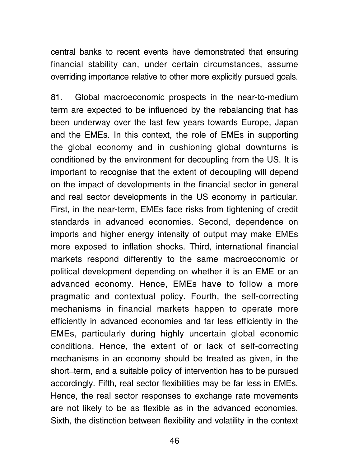central banks to recent events have demonstrated that ensuring financial stability can, under certain circumstances, assume overriding importance relative to other more explicitly pursued goals.

81. Global macroeconomic prospects in the near-to-medium term are expected to be influenced by the rebalancing that has been underway over the last few years towards Europe, Japan and the EMEs. In this context, the role of EMEs in supporting the global economy and in cushioning global downturns is conditioned by the environment for decoupling from the US. It is important to recognise that the extent of decoupling will depend on the impact of developments in the financial sector in general and real sector developments in the US economy in particular. First, in the near-term, EMEs face risks from tightening of credit standards in advanced economies. Second, dependence on imports and higher energy intensity of output may make EMEs more exposed to inflation shocks. Third, international financial markets respond differently to the same macroeconomic or political development depending on whether it is an EME or an advanced economy. Hence, EMEs have to follow a more pragmatic and contextual policy. Fourth, the self-correcting mechanisms in financial markets happen to operate more efficiently in advanced economies and far less efficiently in the EMEs, particularly during highly uncertain global economic conditions. Hence, the extent of or lack of self-correcting mechanisms in an economy should be treated as given, in the short\_term, and a suitable policy of intervention has to be pursued accordingly. Fifth, real sector flexibilities may be far less in EMEs. Hence, the real sector responses to exchange rate movements are not likely to be as flexible as in the advanced economies. Sixth, the distinction between flexibility and volatility in the context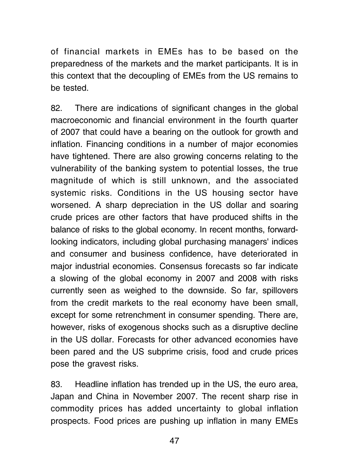of financial markets in EMEs has to be based on the preparedness of the markets and the market participants. It is in this context that the decoupling of EMEs from the US remains to be tested.

82. There are indications of significant changes in the global macroeconomic and financial environment in the fourth quarter of 2007 that could have a bearing on the outlook for growth and inflation. Financing conditions in a number of major economies have tightened. There are also growing concerns relating to the vulnerability of the banking system to potential losses, the true magnitude of which is still unknown, and the associated systemic risks. Conditions in the US housing sector have worsened. A sharp depreciation in the US dollar and soaring crude prices are other factors that have produced shifts in the balance of risks to the global economy. In recent months, forwardlooking indicators, including global purchasing managers' indices and consumer and business confidence, have deteriorated in major industrial economies. Consensus forecasts so far indicate a slowing of the global economy in 2007 and 2008 with risks currently seen as weighed to the downside. So far, spillovers from the credit markets to the real economy have been small, except for some retrenchment in consumer spending. There are, however, risks of exogenous shocks such as a disruptive decline in the US dollar. Forecasts for other advanced economies have been pared and the US subprime crisis, food and crude prices pose the gravest risks.

83. Headline inflation has trended up in the US, the euro area, Japan and China in November 2007. The recent sharp rise in commodity prices has added uncertainty to global inflation prospects. Food prices are pushing up inflation in many EMEs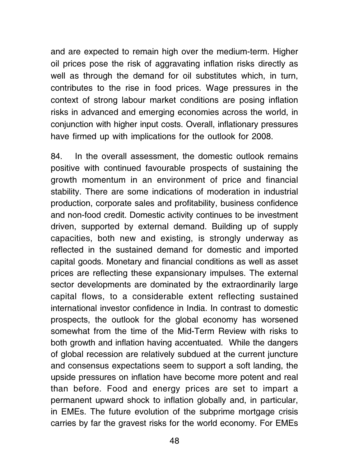and are expected to remain high over the medium-term. Higher oil prices pose the risk of aggravating inflation risks directly as well as through the demand for oil substitutes which, in turn, contributes to the rise in food prices. Wage pressures in the context of strong labour market conditions are posing inflation risks in advanced and emerging economies across the world, in conjunction with higher input costs. Overall, inflationary pressures have firmed up with implications for the outlook for 2008.

84. In the overall assessment, the domestic outlook remains positive with continued favourable prospects of sustaining the growth momentum in an environment of price and financial stability. There are some indications of moderation in industrial production, corporate sales and profitability, business confidence and non-food credit. Domestic activity continues to be investment driven, supported by external demand. Building up of supply capacities, both new and existing, is strongly underway as reflected in the sustained demand for domestic and imported capital goods. Monetary and financial conditions as well as asset prices are reflecting these expansionary impulses. The external sector developments are dominated by the extraordinarily large capital flows, to a considerable extent reflecting sustained international investor confidence in India. In contrast to domestic prospects, the outlook for the global economy has worsened somewhat from the time of the Mid-Term Review with risks to both growth and inflation having accentuated. While the dangers of global recession are relatively subdued at the current juncture and consensus expectations seem to support a soft landing, the upside pressures on inflation have become more potent and real than before. Food and energy prices are set to impart a permanent upward shock to inflation globally and, in particular, in EMEs. The future evolution of the subprime mortgage crisis carries by far the gravest risks for the world economy. For EMEs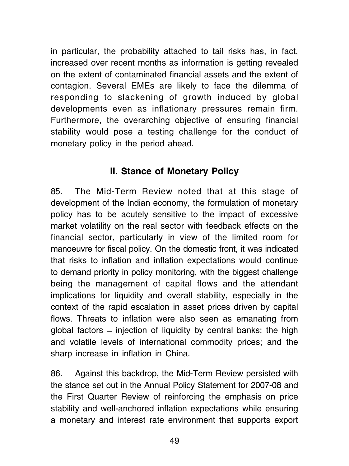in particular, the probability attached to tail risks has, in fact, increased over recent months as information is getting revealed on the extent of contaminated financial assets and the extent of contagion. Several EMEs are likely to face the dilemma of responding to slackening of growth induced by global developments even as inflationary pressures remain firm. Furthermore, the overarching objective of ensuring financial stability would pose a testing challenge for the conduct of monetary policy in the period ahead.

# II. Stance of Monetary Policy

85. The Mid-Term Review noted that at this stage of development of the Indian economy, the formulation of monetary policy has to be acutely sensitive to the impact of excessive market volatility on the real sector with feedback effects on the financial sector, particularly in view of the limited room for manoeuvre for fiscal policy. On the domestic front, it was indicated that risks to inflation and inflation expectations would continue to demand priority in policy monitoring, with the biggest challenge being the management of capital flows and the attendant implications for liquidity and overall stability, especially in the context of the rapid escalation in asset prices driven by capital flows. Threats to inflation were also seen as emanating from global factors  $=$  injection of liquidity by central banks; the high and volatile levels of international commodity prices; and the sharp increase in inflation in China.

86. Against this backdrop, the Mid-Term Review persisted with the stance set out in the Annual Policy Statement for 2007-08 and the First Quarter Review of reinforcing the emphasis on price stability and well-anchored inflation expectations while ensuring a monetary and interest rate environment that supports export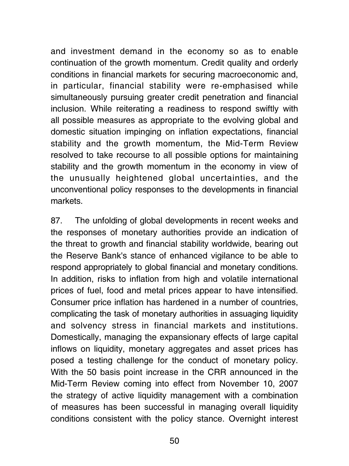and investment demand in the economy so as to enable continuation of the growth momentum. Credit quality and orderly conditions in financial markets for securing macroeconomic and, in particular, financial stability were re-emphasised while simultaneously pursuing greater credit penetration and financial inclusion. While reiterating a readiness to respond swiftly with all possible measures as appropriate to the evolving global and domestic situation impinging on inflation expectations, financial stability and the growth momentum, the Mid-Term Review resolved to take recourse to all possible options for maintaining stability and the growth momentum in the economy in view of the unusually heightened global uncertainties, and the unconventional policy responses to the developments in financial markets.

87. The unfolding of global developments in recent weeks and the responses of monetary authorities provide an indication of the threat to growth and financial stability worldwide, bearing out the Reserve Bank's stance of enhanced vigilance to be able to respond appropriately to global financial and monetary conditions. In addition, risks to inflation from high and volatile international prices of fuel, food and metal prices appear to have intensified. Consumer price inflation has hardened in a number of countries, complicating the task of monetary authorities in assuaging liquidity and solvency stress in financial markets and institutions. Domestically, managing the expansionary effects of large capital inflows on liquidity, monetary aggregates and asset prices has posed a testing challenge for the conduct of monetary policy. With the 50 basis point increase in the CRR announced in the Mid-Term Review coming into effect from November 10, 2007 the strategy of active liquidity management with a combination of measures has been successful in managing overall liquidity conditions consistent with the policy stance. Overnight interest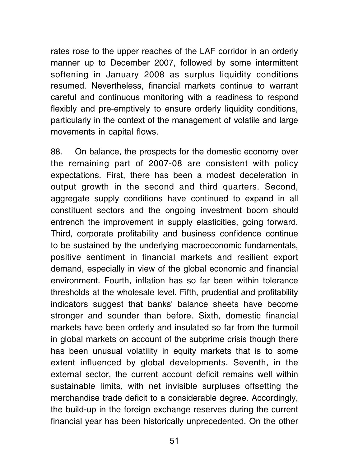rates rose to the upper reaches of the LAF corridor in an orderly manner up to December 2007, followed by some intermittent softening in January 2008 as surplus liquidity conditions resumed. Nevertheless, financial markets continue to warrant careful and continuous monitoring with a readiness to respond flexibly and pre-emptively to ensure orderly liquidity conditions, particularly in the context of the management of volatile and large movements in capital flows.

88. On balance, the prospects for the domestic economy over the remaining part of 2007-08 are consistent with policy expectations. First, there has been a modest deceleration in output growth in the second and third quarters. Second, aggregate supply conditions have continued to expand in all constituent sectors and the ongoing investment boom should entrench the improvement in supply elasticities, going forward. Third, corporate profitability and business confidence continue to be sustained by the underlying macroeconomic fundamentals, positive sentiment in financial markets and resilient export demand, especially in view of the global economic and financial environment. Fourth, inflation has so far been within tolerance thresholds at the wholesale level. Fifth, prudential and profitability indicators suggest that banks' balance sheets have become stronger and sounder than before. Sixth, domestic financial markets have been orderly and insulated so far from the turmoil in global markets on account of the subprime crisis though there has been unusual volatility in equity markets that is to some extent influenced by global developments. Seventh, in the external sector, the current account deficit remains well within sustainable limits, with net invisible surpluses offsetting the merchandise trade deficit to a considerable degree. Accordingly, the build-up in the foreign exchange reserves during the current financial year has been historically unprecedented. On the other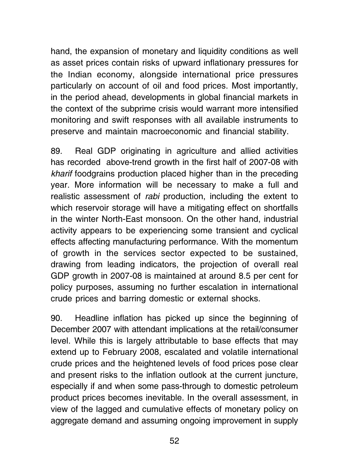hand, the expansion of monetary and liquidity conditions as well as asset prices contain risks of upward inflationary pressures for the Indian economy, alongside international price pressures particularly on account of oil and food prices. Most importantly, in the period ahead, developments in global financial markets in the context of the subprime crisis would warrant more intensified monitoring and swift responses with all available instruments to preserve and maintain macroeconomic and financial stability.

89. Real GDP originating in agriculture and allied activities has recorded above-trend growth in the first half of 2007-08 with kharif foodgrains production placed higher than in the preceding year. More information will be necessary to make a full and realistic assessment of rabi production, including the extent to which reservoir storage will have a mitigating effect on shortfalls in the winter North-East monsoon. On the other hand, industrial activity appears to be experiencing some transient and cyclical effects affecting manufacturing performance. With the momentum of growth in the services sector expected to be sustained, drawing from leading indicators, the projection of overall real GDP growth in 2007-08 is maintained at around 8.5 per cent for policy purposes, assuming no further escalation in international crude prices and barring domestic or external shocks.

90. Headline inflation has picked up since the beginning of December 2007 with attendant implications at the retail/consumer level. While this is largely attributable to base effects that may extend up to February 2008, escalated and volatile international crude prices and the heightened levels of food prices pose clear and present risks to the inflation outlook at the current juncture, especially if and when some pass-through to domestic petroleum product prices becomes inevitable. In the overall assessment, in view of the lagged and cumulative effects of monetary policy on aggregate demand and assuming ongoing improvement in supply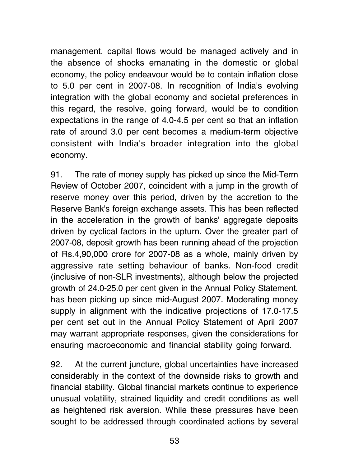management, capital flows would be managed actively and in the absence of shocks emanating in the domestic or global economy, the policy endeavour would be to contain inflation close to 5.0 per cent in 2007-08. In recognition of India's evolving integration with the global economy and societal preferences in this regard, the resolve, going forward, would be to condition expectations in the range of 4.0-4.5 per cent so that an inflation rate of around 3.0 per cent becomes a medium-term objective consistent with India's broader integration into the global economy.

91. The rate of money supply has picked up since the Mid-Term Review of October 2007, coincident with a jump in the growth of reserve money over this period, driven by the accretion to the Reserve Bank's foreign exchange assets. This has been reflected in the acceleration in the growth of banks' aggregate deposits driven by cyclical factors in the upturn. Over the greater part of 2007-08, deposit growth has been running ahead of the projection of Rs.4,90,000 crore for 2007-08 as a whole, mainly driven by aggressive rate setting behaviour of banks. Non-food credit (inclusive of non-SLR investments), although below the projected growth of 24.0-25.0 per cent given in the Annual Policy Statement, has been picking up since mid-August 2007. Moderating money supply in alignment with the indicative projections of 17.0-17.5 per cent set out in the Annual Policy Statement of April 2007 may warrant appropriate responses, given the considerations for ensuring macroeconomic and financial stability going forward.

92. At the current juncture, global uncertainties have increased considerably in the context of the downside risks to growth and financial stability. Global financial markets continue to experience unusual volatility, strained liquidity and credit conditions as well as heightened risk aversion. While these pressures have been sought to be addressed through coordinated actions by several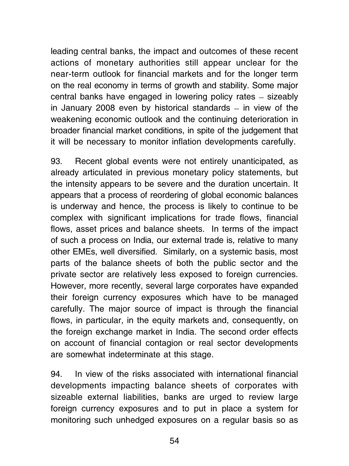leading central banks, the impact and outcomes of these recent actions of monetary authorities still appear unclear for the near-term outlook for financial markets and for the longer term on the real economy in terms of growth and stability. Some major central banks have engaged in lowering policy rates \_ sizeably in January 2008 even by historical standards  $-$  in view of the weakening economic outlook and the continuing deterioration in broader financial market conditions, in spite of the judgement that it will be necessary to monitor inflation developments carefully.

93. Recent global events were not entirely unanticipated, as already articulated in previous monetary policy statements, but the intensity appears to be severe and the duration uncertain. It appears that a process of reordering of global economic balances is underway and hence, the process is likely to continue to be complex with significant implications for trade flows, financial flows, asset prices and balance sheets. In terms of the impact of such a process on India, our external trade is, relative to many other EMEs, well diversified. Similarly, on a systemic basis, most parts of the balance sheets of both the public sector and the private sector are relatively less exposed to foreign currencies. However, more recently, several large corporates have expanded their foreign currency exposures which have to be managed carefully. The major source of impact is through the financial flows, in particular, in the equity markets and, consequently, on the foreign exchange market in India. The second order effects on account of financial contagion or real sector developments are somewhat indeterminate at this stage.

94. In view of the risks associated with international financial developments impacting balance sheets of corporates with sizeable external liabilities, banks are urged to review large foreign currency exposures and to put in place a system for monitoring such unhedged exposures on a regular basis so as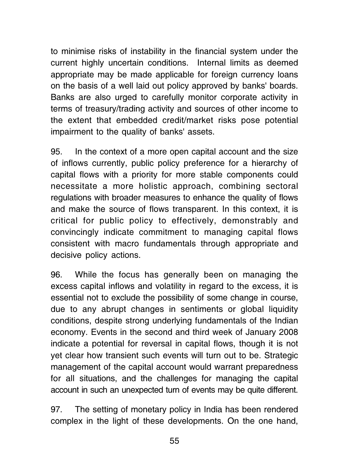to minimise risks of instability in the financial system under the current highly uncertain conditions. Internal limits as deemed appropriate may be made applicable for foreign currency loans on the basis of a well laid out policy approved by banks' boards. Banks are also urged to carefully monitor corporate activity in terms of treasury/trading activity and sources of other income to the extent that embedded credit/market risks pose potential impairment to the quality of banks' assets.

95. In the context of a more open capital account and the size of inflows currently, public policy preference for a hierarchy of capital flows with a priority for more stable components could necessitate a more holistic approach, combining sectoral regulations with broader measures to enhance the quality of flows and make the source of flows transparent. In this context, it is critical for public policy to effectively, demonstrably and convincingly indicate commitment to managing capital flows consistent with macro fundamentals through appropriate and decisive policy actions.

96. While the focus has generally been on managing the excess capital inflows and volatility in regard to the excess, it is essential not to exclude the possibility of some change in course, due to any abrupt changes in sentiments or global liquidity conditions, despite strong underlying fundamentals of the Indian economy. Events in the second and third week of January 2008 indicate a potential for reversal in capital flows, though it is not yet clear how transient such events will turn out to be. Strategic management of the capital account would warrant preparedness for all situations, and the challenges for managing the capital account in such an unexpected turn of events may be quite different.

97. The setting of monetary policy in India has been rendered complex in the light of these developments. On the one hand,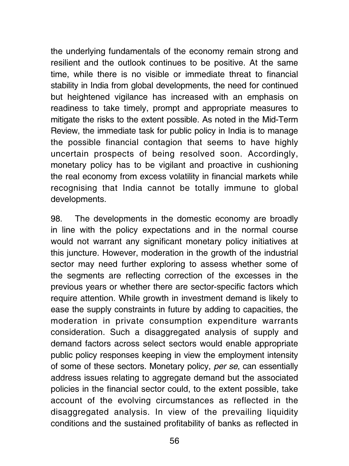the underlying fundamentals of the economy remain strong and resilient and the outlook continues to be positive. At the same time, while there is no visible or immediate threat to financial stability in India from global developments, the need for continued but heightened vigilance has increased with an emphasis on readiness to take timely, prompt and appropriate measures to mitigate the risks to the extent possible. As noted in the Mid-Term Review, the immediate task for public policy in India is to manage the possible financial contagion that seems to have highly uncertain prospects of being resolved soon. Accordingly, monetary policy has to be vigilant and proactive in cushioning the real economy from excess volatility in financial markets while recognising that India cannot be totally immune to global developments.

98. The developments in the domestic economy are broadly in line with the policy expectations and in the normal course would not warrant any significant monetary policy initiatives at this juncture. However, moderation in the growth of the industrial sector may need further exploring to assess whether some of the segments are reflecting correction of the excesses in the previous years or whether there are sector-specific factors which require attention. While growth in investment demand is likely to ease the supply constraints in future by adding to capacities, the moderation in private consumption expenditure warrants consideration. Such a disaggregated analysis of supply and demand factors across select sectors would enable appropriate public policy responses keeping in view the employment intensity of some of these sectors. Monetary policy, per se, can essentially address issues relating to aggregate demand but the associated policies in the financial sector could, to the extent possible, take account of the evolving circumstances as reflected in the disaggregated analysis. In view of the prevailing liquidity conditions and the sustained profitability of banks as reflected in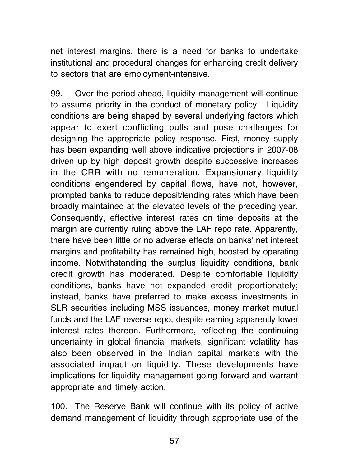net interest margins, there is a need for banks to undertake institutional and procedural changes for enhancing credit delivery to sectors that are employment-intensive.

99. Over the period ahead, liquidity management will continue to assume priority in the conduct of monetary policy. Liquidity conditions are being shaped by several underlying factors which appear to exert conflicting pulls and pose challenges for designing the appropriate policy response. First, money supply has been expanding well above indicative projections in 2007-08 driven up by high deposit growth despite successive increases in the CRR with no remuneration. Expansionary liquidity conditions engendered by capital flows, have not, however, prompted banks to reduce deposit/lending rates which have been broadly maintained at the elevated levels of the preceding year. Consequently, effective interest rates on time deposits at the margin are currently ruling above the LAF repo rate. Apparently, there have been little or no adverse effects on banks' net interest margins and profitability has remained high, boosted by operating income. Notwithstanding the surplus liquidity conditions, bank credit growth has moderated. Despite comfortable liquidity conditions, banks have not expanded credit proportionately; instead, banks have preferred to make excess investments in SLR securities including MSS issuances, money market mutual funds and the LAF reverse repo, despite earning apparently lower interest rates thereon. Furthermore, reflecting the continuing uncertainty in global financial markets, significant volatility has also been observed in the Indian capital markets with the associated impact on liquidity. These developments have implications for liquidity management going forward and warrant appropriate and timely action.

100. The Reserve Bank will continue with its policy of active demand management of liquidity through appropriate use of the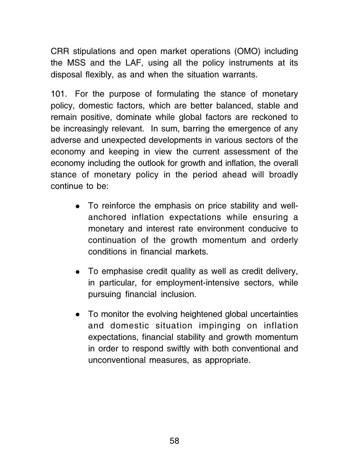CRR stipulations and open market operations (OMO) including the MSS and the LAF, using all the policy instruments at its disposal flexibly, as and when the situation warrants.

101. For the purpose of formulating the stance of monetary policy, domestic factors, which are better balanced, stable and remain positive, dominate while global factors are reckoned to be increasingly relevant. In sum, barring the emergence of any adverse and unexpected developments in various sectors of the economy and keeping in view the current assessment of the economy including the outlook for growth and inflation, the overall stance of monetary policy in the period ahead will broadly continue to be:

- To reinforce the emphasis on price stability and wellanchored inflation expectations while ensuring a monetary and interest rate environment conducive to continuation of the growth momentum and orderly conditions in financial markets.
- $\bullet$  To emphasise credit quality as well as credit delivery, in particular, for employment-intensive sectors, while pursuing financial inclusion.
- To monitor the evolving heightened global uncertainties and domestic situation impinging on inflation expectations, financial stability and growth momentum in order to respond swiftly with both conventional and unconventional measures, as appropriate.